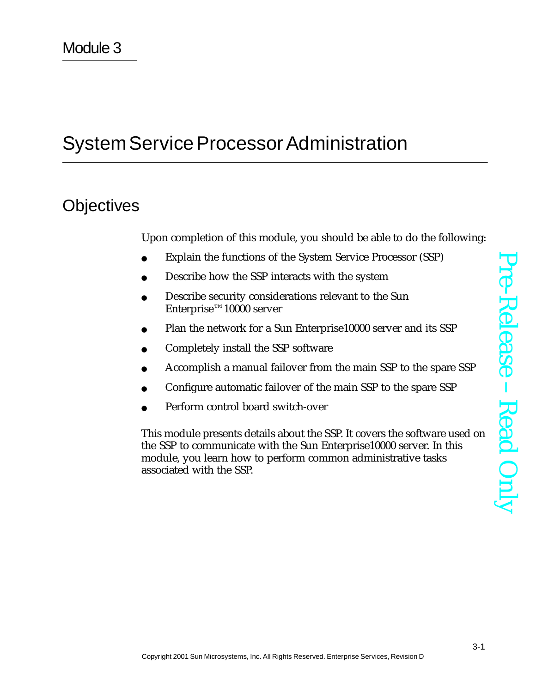# System Service Processor Administration

## **Objectives**

Upon completion of this module, you should be able to do the following:

- Explain the functions of the System Service Processor (SSP)
- Describe how the SSP interacts with the system
- Describe security considerations relevant to the Sun Enterprise™10000 server
- Plan the network for a Sun Enterprise10000 server and its SSP
- Completely install the SSP software
- Accomplish a manual failover from the main SSP to the spare SSP
- Configure automatic failover of the main SSP to the spare SSP
- Perform control board switch-over

This module presents details about the SSP. It covers the software used on the SSP to communicate with the Sun Enterprise10000 server. In this module, you learn how to perform common administrative tasks associated with the SSP.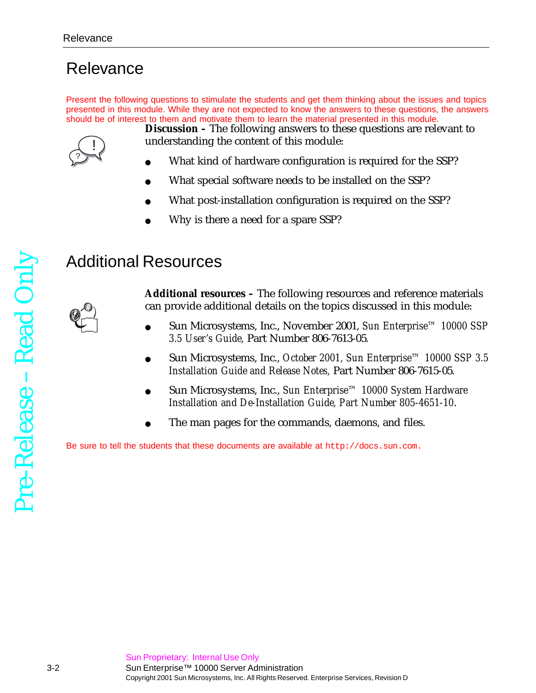## **Relevance**

Present the following questions to stimulate the students and get them thinking about the issues and topics presented in this module. While they are not expected to know the answers to these questions, the answers should be of interest to them and motivate them to learn the material presented in this module.



**Discussion –** The following answers to these questions are relevant to understanding the content of this module:

- What kind of hardware configuration is required for the SSP?
- What special software needs to be installed on the SSP?
- What post-installation configuration is required on the SSP?
- Why is there a need for a spare SSP?

## Additional Resources

**Additional resources –** The following resources and reference materials can provide additional details on the topics discussed in this module:

- Sun Microsystems, Inc., November 2001, *Sun Enterprise™ 10000 SSP 3.5 User's Guide,* Part Number 806-7613-05*.*
- Sun Microsystems, Inc., *October 2001, Sun Enterprise™ 10000 SSP 3.5 Installation Guide and Release Notes,* Part Number 806-7615-05*.*
- Sun Microsystems, Inc., *Sun Enterprise™ 10000 System Hardware Installation and De-Installation Guide, Part Number 805-4651-10*.
- The man pages for the commands, daemons, and files.

Be sure to tell the students that these documents are available at http://docs.sun.com.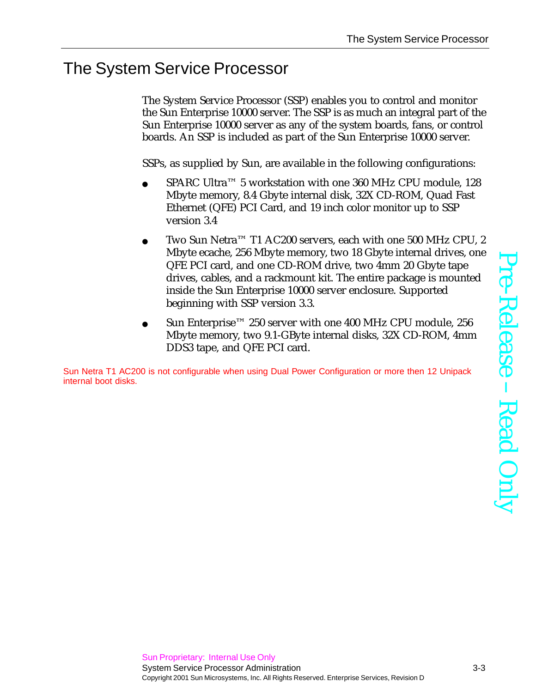## The System Service Processor

The System Service Processor (SSP) enables you to control and monitor the Sun Enterprise 10000 server. The SSP is as much an integral part of the Sun Enterprise 10000 server as any of the system boards, fans, or control boards. An SSP is included as part of the Sun Enterprise 10000 server.

SSPs, as supplied by Sun, are available in the following configurations:

- $SPARC$  Ultra<sup>™</sup> 5 workstation with one 360 MHz CPU module, 128 Mbyte memory, 8.4 Gbyte internal disk, 32X CD-ROM, Quad Fast Ethernet (QFE) PCI Card, and 19 inch color monitor up to SSP version 3.4
- Two Sun Netra<sup>™</sup> T1 AC200 servers, each with one 500 MHz CPU, 2 Mbyte ecache, 256 Mbyte memory, two 18 Gbyte internal drives, one QFE PCI card, and one CD-ROM drive, two 4mm 20 Gbyte tape drives, cables, and a rackmount kit. The entire package is mounted inside the Sun Enterprise 10000 server enclosure. Supported beginning with SSP version 3.3.
- Sun Enterprise™ 250 server with one 400 MHz CPU module, 256 Mbyte memory, two 9.1-GByte internal disks, 32X CD-ROM, 4mm DDS3 tape, and QFE PCI card.

Sun Netra T1 AC200 is not configurable when using Dual Power Configuration or more then 12 Unipack internal boot disks.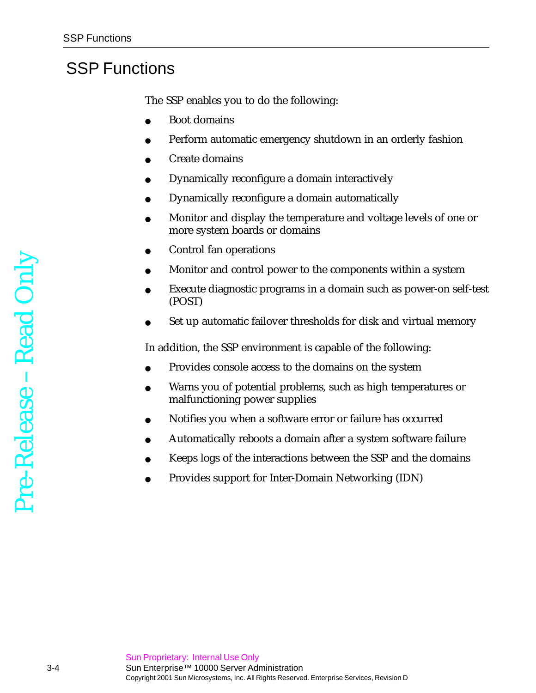## SSP Functions

The SSP enables you to do the following:

- Boot domains
- Perform automatic emergency shutdown in an orderly fashion
- Create domains
- Dynamically reconfigure a domain interactively
- Dynamically reconfigure a domain automatically
- Monitor and display the temperature and voltage levels of one or more system boards or domains
- Control fan operations
- Monitor and control power to the components within a system
- Execute diagnostic programs in a domain such as power-on self-test (POST)
- Set up automatic failover thresholds for disk and virtual memory

In addition, the SSP environment is capable of the following:

- Provides console access to the domains on the system
- Warns you of potential problems, such as high temperatures or malfunctioning power supplies
- Notifies you when a software error or failure has occurred
- Automatically reboots a domain after a system software failure
- Keeps logs of the interactions between the SSP and the domains
- Provides support for Inter-Domain Networking (IDN)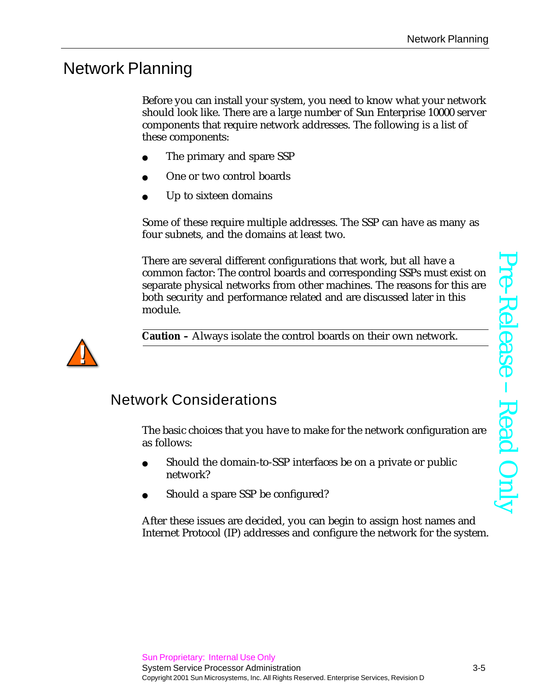## Network Planning

Before you can install your system, you need to know what your network should look like. There are a large number of Sun Enterprise 10000 server components that require network addresses. The following is a list of these components:

- The primary and spare SSP
- One or two control boards
- Up to sixteen domains

Some of these require multiple addresses. The SSP can have as many as four subnets, and the domains at least two.

There are several different configurations that work, but all have a common factor: The control boards and corresponding SSPs must exist on separate physical networks from other machines. The reasons for this are both security and performance related and are discussed later in this module.



**Caution –** Always isolate the control boards on their own network.

#### Network Considerations

The basic choices that you have to make for the network configuration are as follows:

- Should the domain-to-SSP interfaces be on a private or public network?
- Should a spare SSP be configured?

After these issues are decided, you can begin to assign host names and Internet Protocol (IP) addresses and configure the network for the system.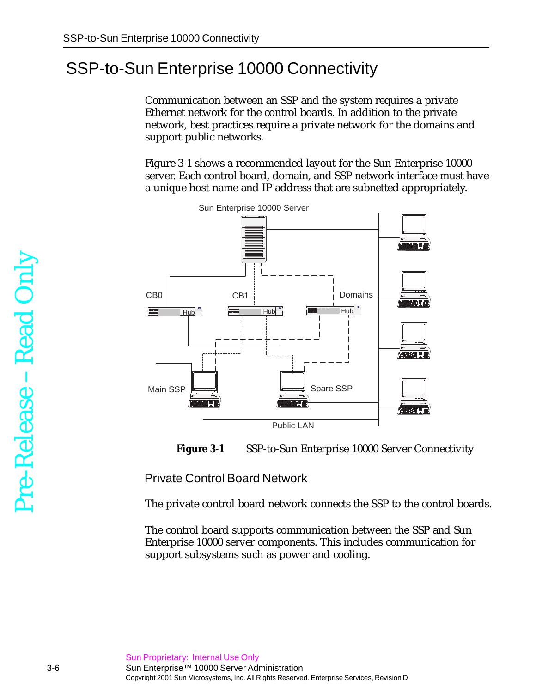## SSP-to-Sun Enterprise 10000 Connectivity

Communication between an SSP and the system requires a private Ethernet network for the control boards. In addition to the private network, best practices require a private network for the domains and support public networks.

[Figure 3-1](#page-5-0) shows a recommended layout for the Sun Enterprise 10000 server. Each control board, domain, and SSP network interface must have a unique host name and IP address that are subnetted appropriately.





<span id="page-5-0"></span>Private Control Board Network

The private control board network connects the SSP to the control boards.

The control board supports communication between the SSP and Sun Enterprise 10000 server components. This includes communication for support subsystems such as power and cooling.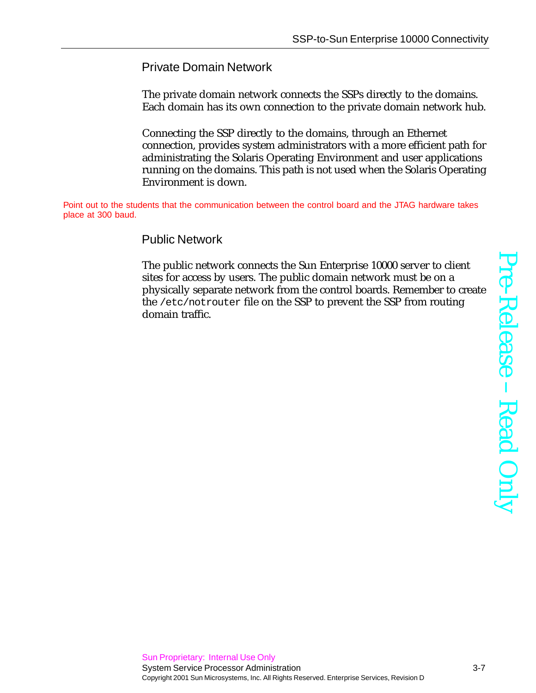#### Private Domain Network

The private domain network connects the SSPs directly to the domains. Each domain has its own connection to the private domain network hub.

Connecting the SSP directly to the domains, through an Ethernet connection, provides system administrators with a more efficient path for administrating the Solaris Operating Environment and user applications running on the domains. This path is not used when the Solaris Operating Environment is down.

Point out to the students that the communication between the control board and the JTAG hardware takes place at 300 baud.

#### Public Network

The public network connects the Sun Enterprise 10000 server to client sites for access by users. The public domain network must be on a physically separate network from the control boards. Remember to create the /etc/notrouter file on the SSP to prevent the SSP from routing domain traffic.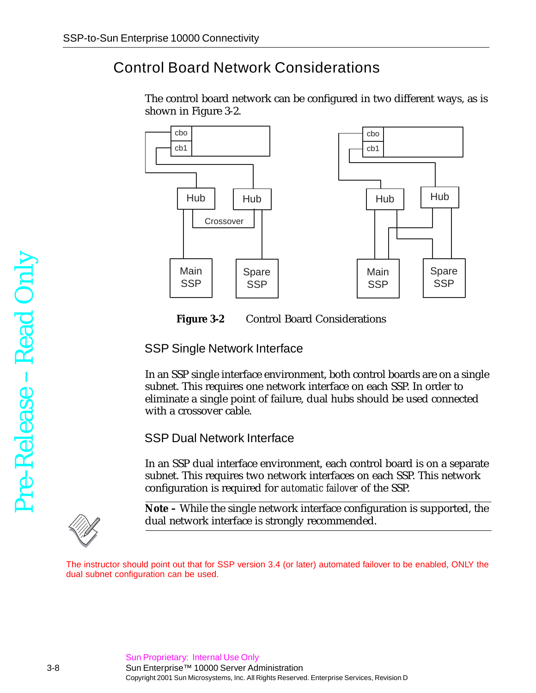## <span id="page-7-1"></span>Control Board Network Considerations

The control board network can be configured in two different ways, as is shown in [Figure 3-2](#page-7-0).



<span id="page-7-0"></span>

#### SSP Single Network Interface

In an SSP single interface environment, both control boards are on a single subnet. This requires one network interface on each SSP. In order to eliminate a single point of failure, dual hubs should be used connected with a crossover cable.

SSP Dual Network Interface

In an SSP dual interface environment, each control board is on a separate subnet. This requires two network interfaces on each SSP. This network configuration is required for *automatic failover* of the SSP.



**Note –** While the single network interface configuration is supported, the dual network interface is strongly recommended.

The instructor should point out that for SSP version 3.4 (or later) automated failover to be enabled, ONLY the dual subnet configuration can be used.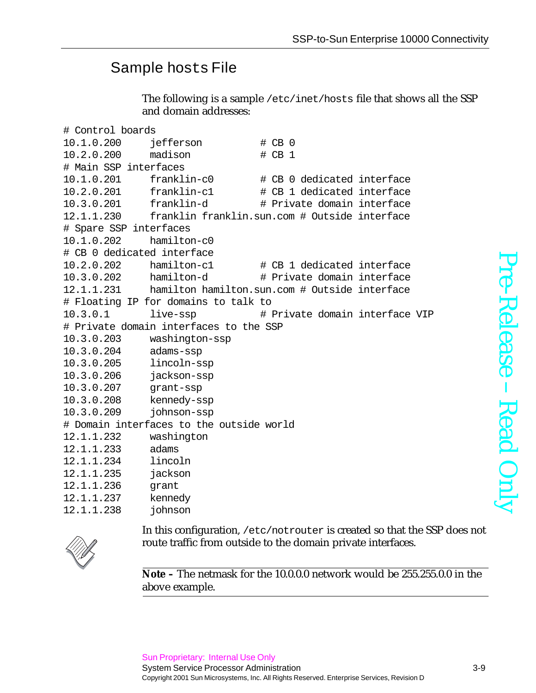## Sample hosts File

The following is a sample /etc/inet/hosts file that shows all the SSP and domain addresses:

```
# Control boards
10.1.0.200 jefferson # CB 0
10.2.0.200 madison # CB 1
# Main SSP interfaces
10.1.0.201 franklin-c0 # CB 0 dedicated interface
10.2.0.201 franklin-c1 # CB 1 dedicated interface
10.3.0.201 franklin-d # Private domain interface
12.1.1.230 franklin franklin.sun.com # Outside interface
# Spare SSP interfaces
10.1.0.202 hamilton-c0
# CB 0 dedicated interface
10.2.0.202 hamilton-c1 # CB 1 dedicated interface
10.3.0.202 hamilton-d # Private domain interface
12.1.1.231 hamilton hamilton.sun.com # Outside interface
# Floating IP for domains to talk to
10.3.0.1 live-ssp # Private domain interface VIP
# Private domain interfaces to the SSP
10.3.0.203 washington-ssp
10.3.0.204 adams-ssp
10.3.0.205 lincoln-ssp
10.3.0.206 jackson-ssp
10.3.0.207 grant-ssp
10.3.0.208 kennedy-ssp
10.3.0.209 johnson-ssp
# Domain interfaces to the outside world
12.1.1.232 washington
12.1.1.233 adams
12.1.1.234 lincoln
12.1.1.235 jackson
12.1.1.236 grant
12.1.1.237 kennedy
12.1.1.238 johnson
```
Pre-ReleaseRead Only



In this configuration, /etc/notrouter is created so that the SSP does not route traffic from outside to the domain private interfaces.

**Note –** The netmask for the 10.0.0.0 network would be 255.255.0.0 in the above example.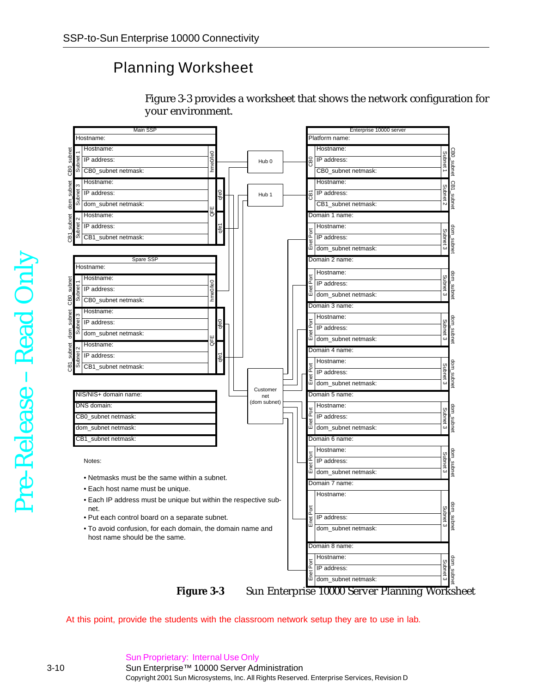### Planning Worksheet



[Figure 3-3](#page-9-0) provides a worksheet that shows the network configuration for



<span id="page-9-0"></span>At this point, provide the students with the classroom network setup they are to use in lab.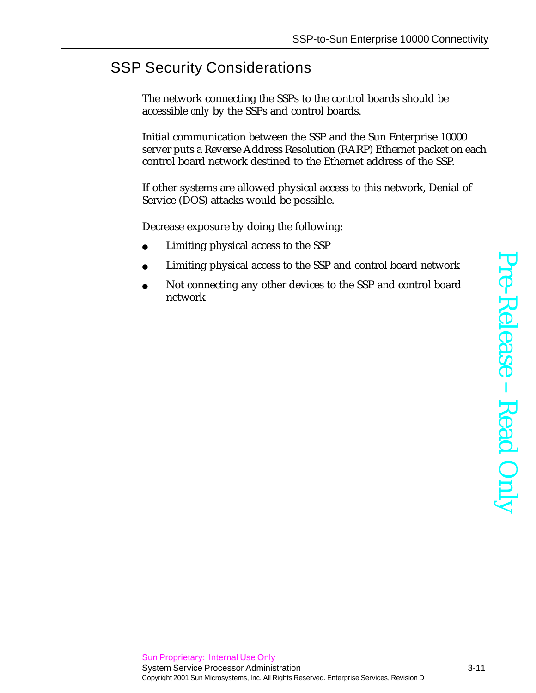## SSP Security Considerations

The network connecting the SSPs to the control boards should be accessible *only* by the SSPs and control boards.

Initial communication between the SSP and the Sun Enterprise 10000 server puts a Reverse Address Resolution (RARP) Ethernet packet on each control board network destined to the Ethernet address of the SSP.

If other systems are allowed physical access to this network, Denial of Service (DOS) attacks would be possible.

Decrease exposure by doing the following:

- Limiting physical access to the SSP
- Limiting physical access to the SSP and control board network
- Not connecting any other devices to the SSP and control board network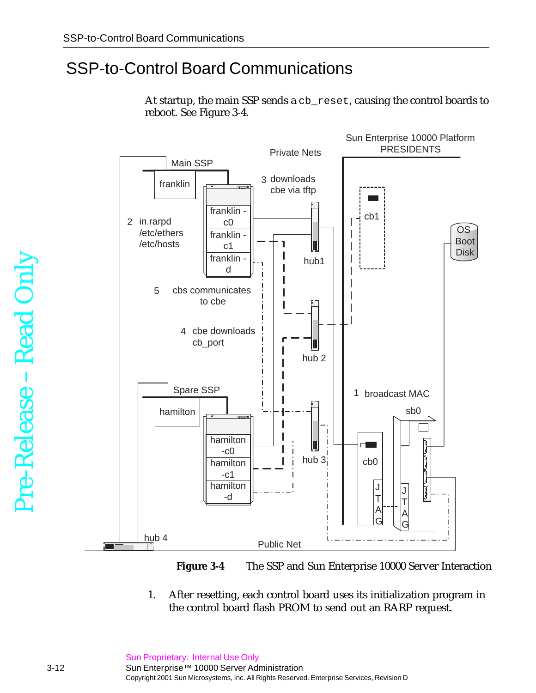## SSP-to-Control Board Communications

At startup, the main SSP sends a cb\_reset, causing the control boards to reboot. See [Figure 3-4.](#page-11-0)





<span id="page-11-0"></span>1. After resetting, each control board uses its initialization program in the control board flash PROM to send out an RARP request.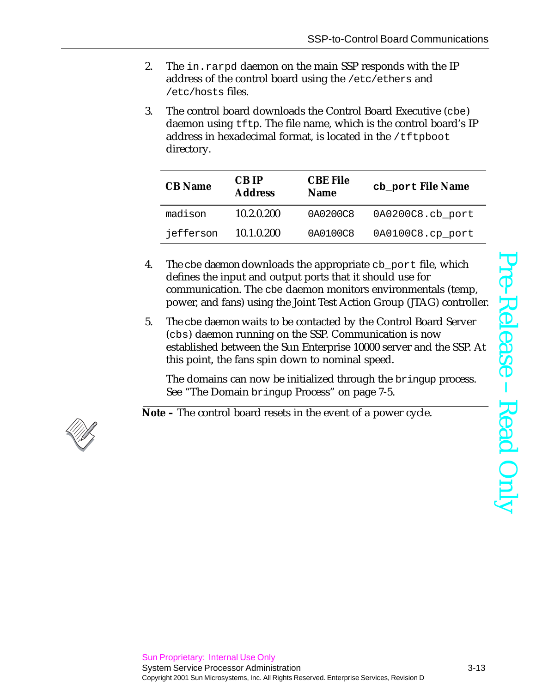- 2. The in.rarpd daemon on the main SSP responds with the IP address of the control board using the /etc/ethers and /etc/hosts files.
- 3. The control board downloads the Control Board Executive (cbe) daemon using tftp. The file name, which is the control board's IP address in hexadecimal format, is located in the  $/t$ ftpboot directory.

| <b>CB</b> Name | <b>CBIP</b><br><b>Address</b> | <b>CBE File</b><br><b>Name</b> | cb_port File Name |
|----------------|-------------------------------|--------------------------------|-------------------|
| madison        | 10.2.0.200                    | 0A0200C8                       | 0A0200C8.cb_port  |
| jefferson      | 10.1.0.200                    | 0A0100C8                       | 0A0100C8.cp port  |

- 4. The cbe daemon downloads the appropriate cb\_port file, which defines the input and output ports that it should use for communication. The cbe daemon monitors environmentals (temp, power, and fans) using the Joint Test Action Group (JTAG) controller.
- 5. The cbe daemon waits to be contacted by the Control Board Server (cbs) daemon running on the SSP. Communication is now established between the Sun Enterprise 10000 server and the SSP. At this point, the fans spin down to nominal speed.

The domains can now be initialized through the bringup process. See "The Domain bringup Process" on page 7-5.

**Note –** The control board resets in the event of a power cycle.

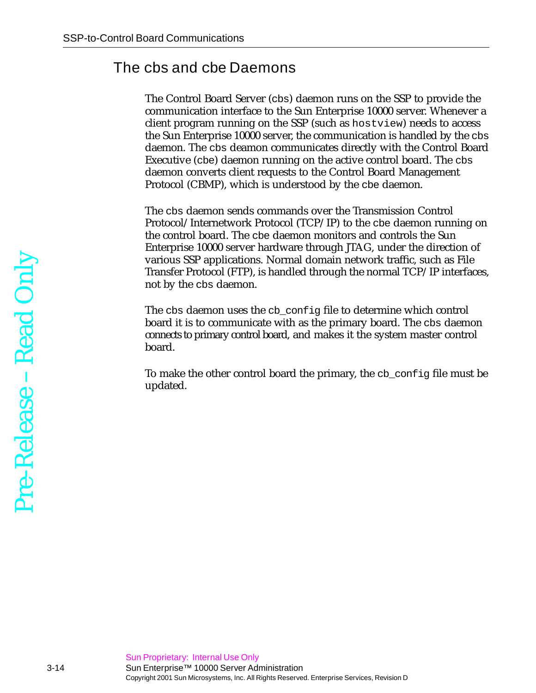#### The cbs and cbe Daemons

The Control Board Server (cbs) daemon runs on the SSP to provide the communication interface to the Sun Enterprise 10000 server. Whenever a client program running on the SSP (such as hostview) needs to access the Sun Enterprise 10000 server, the communication is handled by the cbs daemon. The cbs deamon communicates directly with the Control Board Executive (cbe) daemon running on the active control board. The cbs daemon converts client requests to the Control Board Management Protocol (CBMP), which is understood by the cbe daemon.

The cbs daemon sends commands over the Transmission Control Protocol/Internetwork Protocol (TCP/IP) to the cbe daemon running on the control board. The cbe daemon monitors and controls the Sun Enterprise 10000 server hardware through JTAG, under the direction of various SSP applications. Normal domain network traffic, such as File Transfer Protocol (FTP), is handled through the normal TCP/IP interfaces, not by the cbs daemon.

The cbs daemon uses the cb\_config file to determine which control board it is to communicate with as the primary board. The cbs daemon connects to primary control board, and makes it the system master control board.

To make the other control board the primary, the cb\_config file must be updated.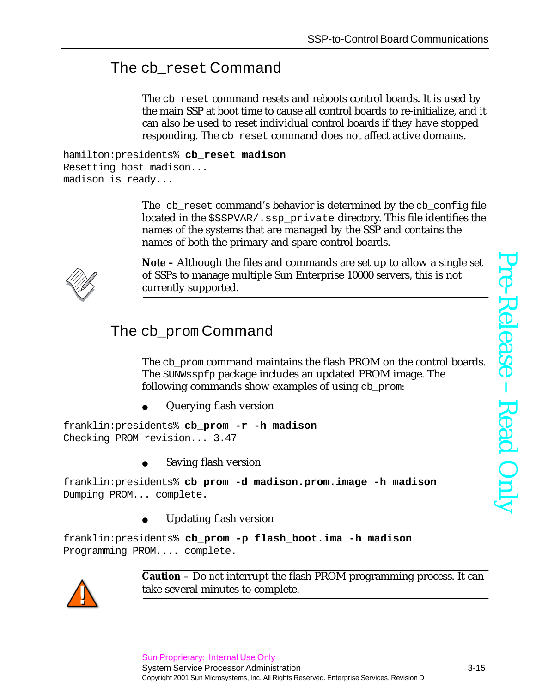## The cb\_reset Command

The cb\_reset command resets and reboots control boards. It is used by the main SSP at boot time to cause all control boards to re-initialize, and it can also be used to reset individual control boards if they have stopped responding. The cb reset command does not affect active domains.

```
hamilton:presidents% cb_reset madison
Resetting host madison...
madison is ready...
```
The cb\_reset command's behavior is determined by the cb\_config file located in the \$SSPVAR/.ssp\_private directory. This file identifies the names of the systems that are managed by the SSP and contains the names of both the primary and spare control boards.



**Note –** Although the files and commands are set up to allow a single set of SSPs to manage multiple Sun Enterprise 10000 servers, this is not currently supported.

## The cb prom Command

The cb\_prom command maintains the flash PROM on the control boards. The SUNWsspfp package includes an updated PROM image. The following commands show examples of using cb\_prom:

Querying flash version

franklin:presidents% **cb\_prom -r -h madison** Checking PROM revision... 3.47

Saving flash version

franklin:presidents% **cb\_prom -d madison.prom.image -h madison** Dumping PROM... complete.

Updating flash version

franklin:presidents% **cb\_prom -p flash\_boot.ima -h madison** Programming PROM.... complete.



**Caution –** Do *no*t interrupt the flash PROM programming process. It can take several minutes to complete.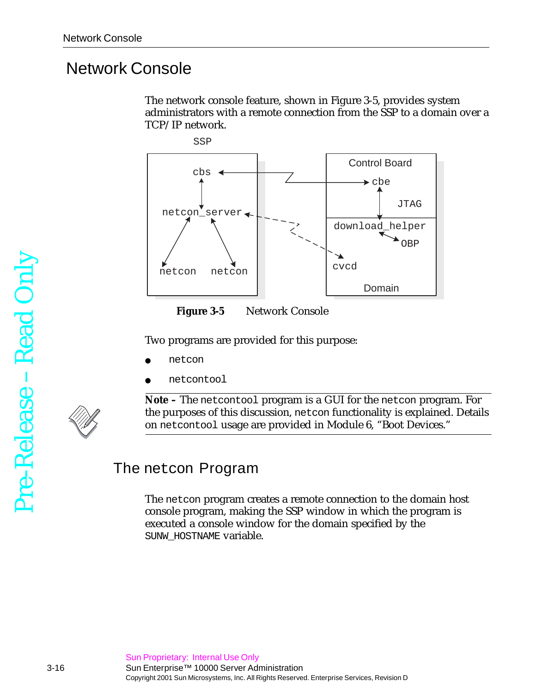## Network Console

The network console feature, shown in [Figure 3-5](#page-15-0), provides system administrators with a remote connection from the SSP to a domain over a TCP/IP network.





<span id="page-15-0"></span>Two programs are provided for this purpose:

- netcon
- netcontool

**Note –** The netcontool program is a GUI for the netcon program. For the purposes of this discussion, netcon functionality is explained. Details on netcontool usage are provided in [Module 6, "Boot Devices.](#page-7-1)"

#### The netcon Program

The netcon program creates a remote connection to the domain host console program, making the SSP window in which the program is executed a console window for the domain specified by the SUNW\_HOSTNAME variable.

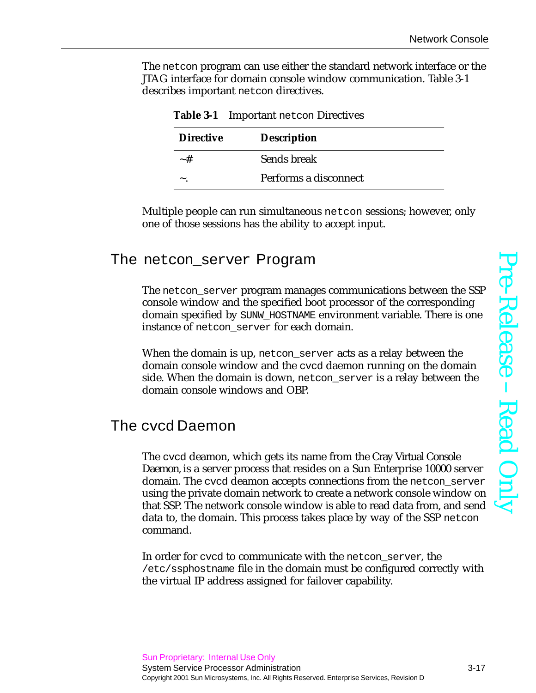The netcon program can use either the standard network interface or the JTAG interface for domain console window communication. [Table 3-1](#page-16-0) describes important netcon directives.

<span id="page-16-0"></span>

| Table 3-1 Important netcon Directives |                       |  |
|---------------------------------------|-----------------------|--|
| <b>Directive</b>                      | <b>Description</b>    |  |
| $~\sim~$ #                            | Sends break           |  |
|                                       | Performs a disconnect |  |

Multiple people can run simultaneous netcon sessions; however, only one of those sessions has the ability to accept input.

#### The netcon\_server Program

The netcon\_server program manages communications between the SSP console window and the specified boot processor of the corresponding domain specified by SUNW\_HOSTNAME environment variable. There is one instance of netcon server for each domain.

When the domain is up, netcon\_server acts as a relay between the domain console window and the cvcd daemon running on the domain side. When the domain is down, netcon\_server is a relay between the domain console windows and OBP.

#### The cvcd Daemon

The cvcd deamon, which gets its name from the Cray Virtual Console Daemon, is a server process that resides on a Sun Enterprise 10000 server domain. The cvcd deamon accepts connections from the netcon\_server using the private domain network to create a network console window on that SSP. The network console window is able to read data from, and send data to, the domain. This process takes place by way of the SSP netcon command.

In order for cycd to communicate with the netcon server, the /etc/ssphostname file in the domain must be configured correctly with the virtual IP address assigned for failover capability.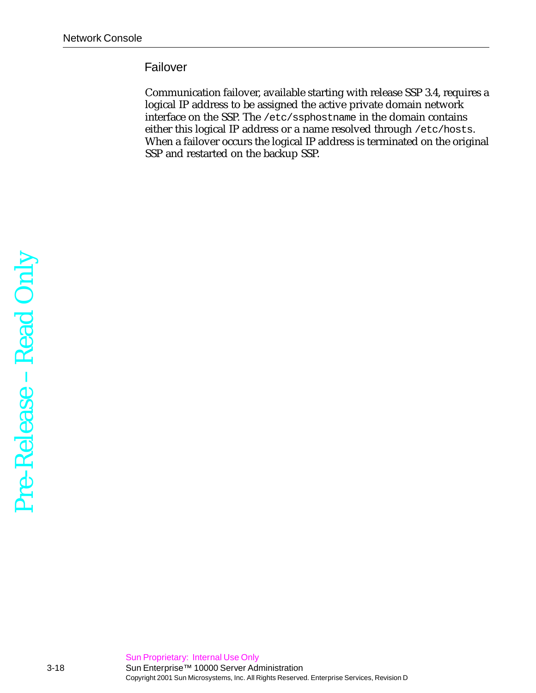#### Failover

Communication failover, available starting with release SSP 3.4, requires a logical IP address to be assigned the active private domain network interface on the SSP. The /etc/ssphostname in the domain contains either this logical IP address or a name resolved through /etc/hosts. When a failover occurs the logical IP address is terminated on the original SSP and restarted on the backup SSP.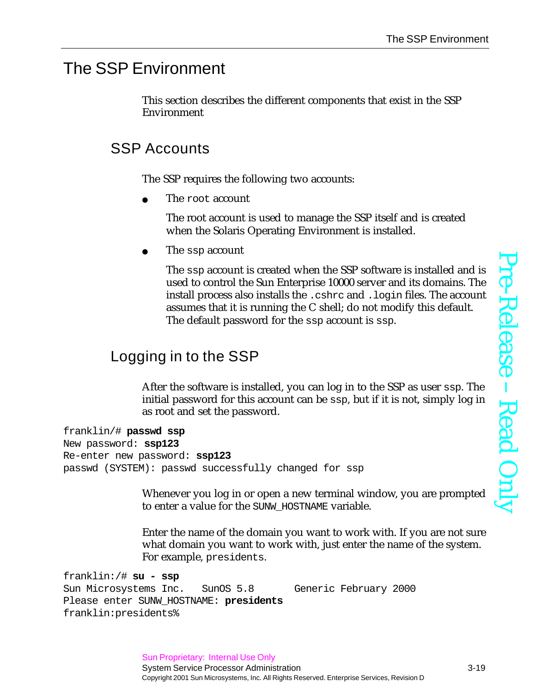#### The SSP Environment

This section describes the different components that exist in the SSP Environment

## SSP Accounts

The SSP requires the following two accounts:

The root account

The root account is used to manage the SSP itself and is created when the Solaris Operating Environment is installed.

The ssp account

The ssp account is created when the SSP software is installed and is used to control the Sun Enterprise 10000 server and its domains. The install process also installs the .cshrc and .login files. The account assumes that it is running the C shell; do not modify this default. The default password for the ssp account is ssp.

## Logging in to the SSP

After the software is installed, you can log in to the SSP as user ssp. The initial password for this account can be ssp, but if it is not, simply log in as root and set the password.

```
franklin/# passwd ssp
New password: ssp123
Re-enter new password: ssp123
passwd (SYSTEM): passwd successfully changed for ssp
```
Whenever you log in or open a new terminal window, you are prompted to enter a value for the SUNW\_HOSTNAME variable.

Enter the name of the domain you want to work with. If you are not sure what domain you want to work with, just enter the name of the system. For example, presidents.

franklin:/# **su - ssp** Sun Microsystems Inc. SunOS 5.8 Generic February 2000 Please enter SUNW\_HOSTNAME: **presidents** franklin:presidents%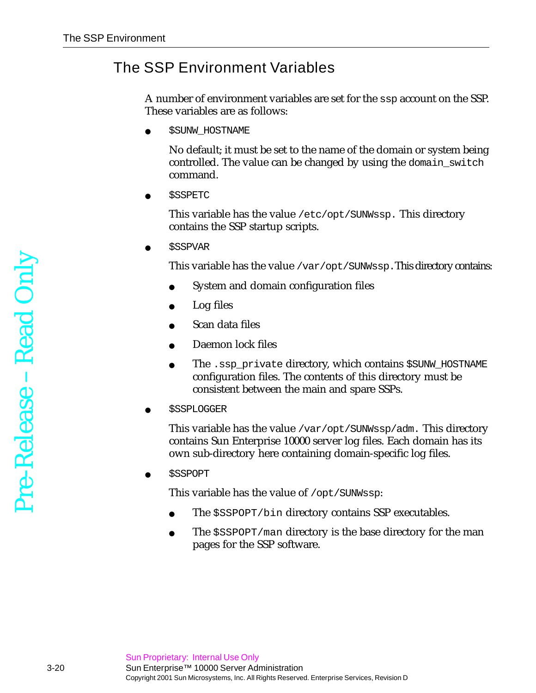## The SSP Environment Variables

A number of environment variables are set for the ssp account on the SSP. These variables are as follows:

**\$SUNW\_HOSTNAME** 

No default; it must be set to the name of the domain or system being controlled. The value can be changed by using the domain\_switch command.

**\$SSPETC** 

This variable has the value /etc/opt/SUNWssp. This directory contains the SSP startup scripts.

● \$SSPVAR

This variable has the value /var/opt/SUNWssp.This directory contains:

- System and domain configuration files
- Log files
- Scan data files
- Daemon lock files
- The .ssp\_private directory, which contains \$SUNW\_HOSTNAME configuration files. The contents of this directory must be consistent between the main and spare SSPs.
- **\$SSPLOGGER**

This variable has the value /var/opt/SUNWssp/adm. This directory contains Sun Enterprise 10000 server log files. Each domain has its own sub-directory here containing domain-specific log files.

● \$SSPOPT

This variable has the value of /opt/SUNWssp:

- The \$SSPOPT/bin directory contains SSP executables.
- The  $$SSPOPT/man$  directory is the base directory for the man pages for the SSP software.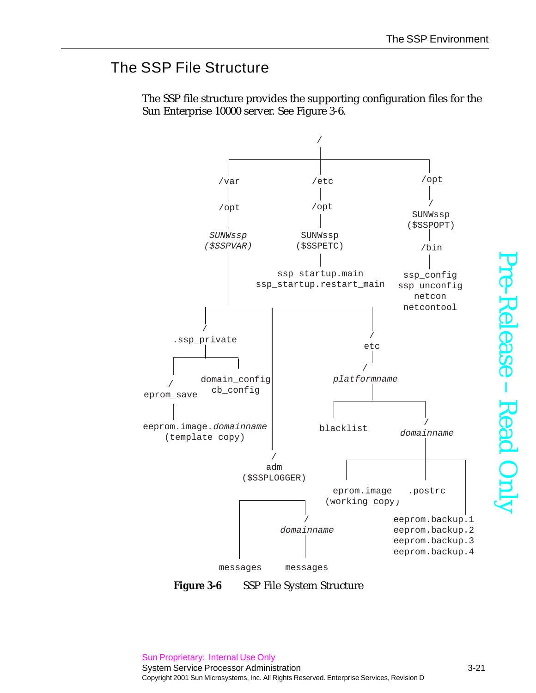## The SSP File Structure



The SSP file structure provides the supporting configuration files for the Sun Enterprise 10000 server. See [Figure 3-6.](#page-20-0)

<span id="page-20-0"></span>**Figure 3-6** SSP File System Structure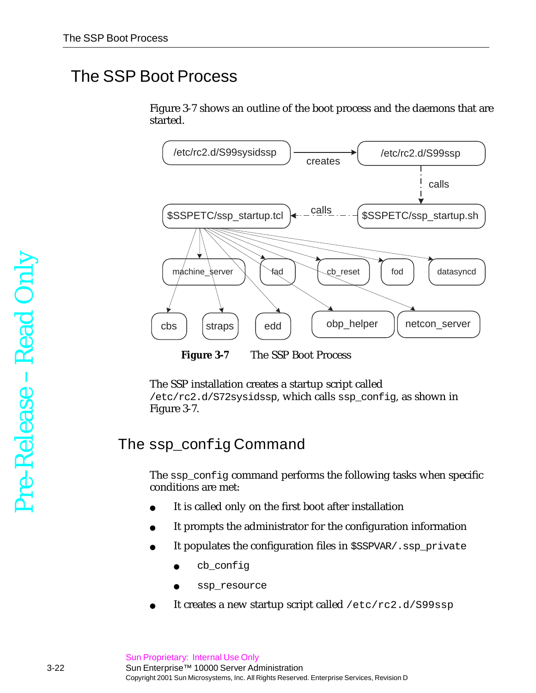# The SSP Boot Process

[Figure 3-7](#page-21-0) shows an outline of the boot process and the daemons that are started.



**Figure 3-7** The SSP Boot Process

<span id="page-21-0"></span>The SSP installation creates a startup script called /etc/rc2.d/S72sysidssp, which calls ssp\_config, as shown in [Figure 3-7](#page-21-0).

## The ssp\_config Command

The ssp\_config command performs the following tasks when specific conditions are met:

- It is called only on the first boot after installation
- It prompts the administrator for the configuration information
- It populates the configuration files in \$SSPVAR/.ssp\_private
	- cb\_config
	- ssp\_resource
- It creates a new startup script called /etc/rc2.d/S99ssp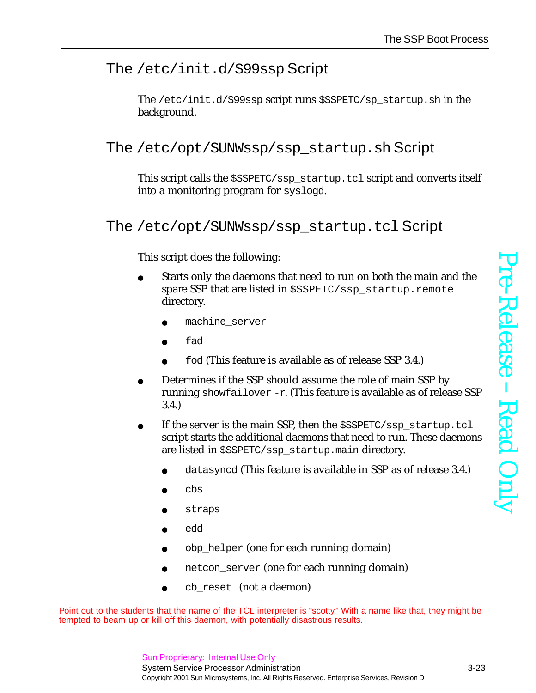## The /etc/init.d/S99ssp Script

The /etc/init.d/S99ssp script runs \$SSPETC/sp\_startup.sh in the background.

The /etc/opt/SUNWssp/ssp\_startup.sh Script

This script calls the \$SSPETC/ssp\_startup.tcl script and converts itself into a monitoring program for syslogd.

The /etc/opt/SUNWssp/ssp\_startup.tcl Script

This script does the following:

- Starts only the daemons that need to run on both the main and the spare SSP that are listed in \$SSPETC/ssp\_startup.remote directory.
	- machine server
	- fad
	- fod (This feature is available as of release SSP 3.4.)
- Determines if the SSP should assume the role of main SSP by running showfailover -r. (This feature is available as of release SSP 3.4.)
- If the server is the main SSP, then the  $$SSPECTC/SSP$$  startup.tcl script starts the additional daemons that need to run. These daemons are listed in \$SSPETC/ssp\_startup.main directory.
	- datasyncd (This feature is available in SSP as of release 3.4.)
	- cbs
	- straps
	- edd
	- obp\_helper (one for each running domain)
	- netcon\_server (one for each running domain)
	- cb\_reset (not a daemon)

Point out to the students that the name of the TCL interpreter is "scotty." With a name like that, they might be tempted to beam up or kill off this daemon, with potentially disastrous results.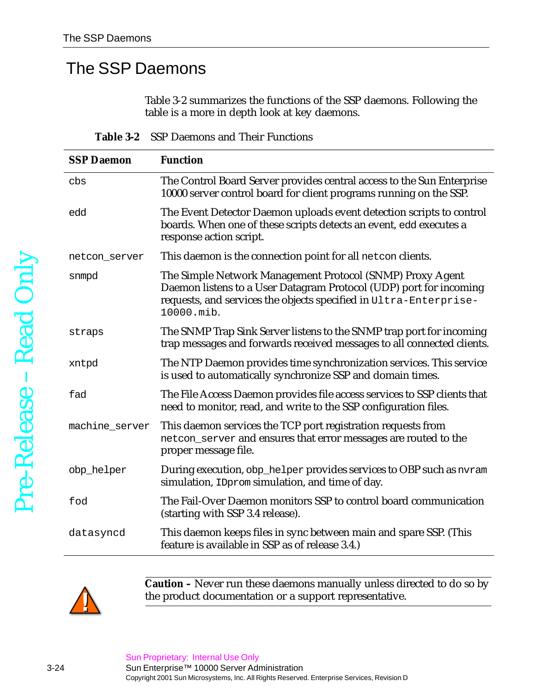## The SSP Daemons

[Table 3-2](#page-23-0) summarizes the functions of the SSP daemons. Following the table is a more in depth look at key daemons.

**Table 3-2** SSP Daemons and Their Functions

<span id="page-23-0"></span>

| <b>SSP Daemon</b> | <b>Function</b>                                                                                                                                                                                                    |
|-------------------|--------------------------------------------------------------------------------------------------------------------------------------------------------------------------------------------------------------------|
| cbs               | The Control Board Server provides central access to the Sun Enterprise<br>10000 server control board for client programs running on the SSP.                                                                       |
| edd               | The Event Detector Daemon uploads event detection scripts to control<br>boards. When one of these scripts detects an event, edd executes a<br>response action script.                                              |
| netcon_server     | This daemon is the connection point for all net con clients.                                                                                                                                                       |
| snmpd             | The Simple Network Management Protocol (SNMP) Proxy Agent<br>Daemon listens to a User Datagram Protocol (UDP) port for incoming<br>requests, and services the objects specified in Ultra-Enterprise-<br>10000.mib. |
| straps            | The SNMP Trap Sink Server listens to the SNMP trap port for incoming<br>trap messages and forwards received messages to all connected clients.                                                                     |
| xntpd             | The NTP Daemon provides time synchronization services. This service<br>is used to automatically synchronize SSP and domain times.                                                                                  |
| fad               | The File Access Daemon provides file access services to SSP clients that<br>need to monitor, read, and write to the SSP configuration files.                                                                       |
| machine_server    | This daemon services the TCP port registration requests from<br>netcon_server and ensures that error messages are routed to the<br>proper message file.                                                            |
| obp_helper        | During execution, obp_helper provides services to OBP such as nvram<br>simulation, IDprom simulation, and time of day.                                                                                             |
| fod               | The Fail-Over Daemon monitors SSP to control board communication<br>(starting with SSP 3.4 release).                                                                                                               |
| datasyncd         | This daemon keeps files in sync between main and spare SSP. (This<br>feature is available in SSP as of release 3.4.)                                                                                               |



**Caution –** Never run these daemons manually unless directed to do so by the product documentation or a support representative.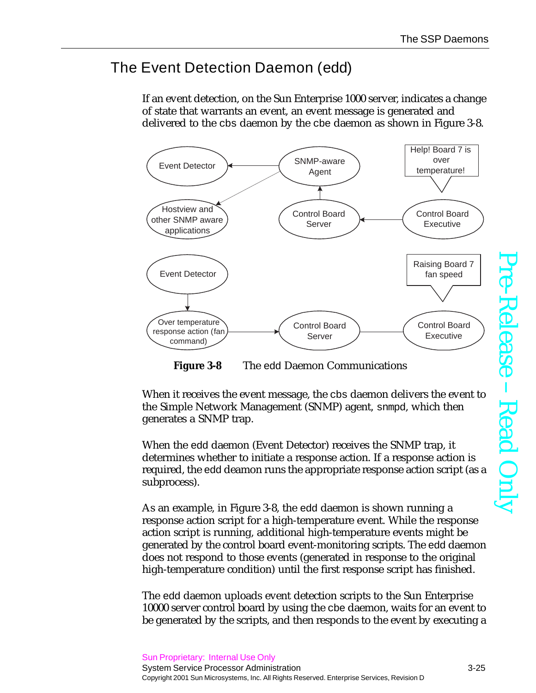## The Event Detection Daemon (edd)

If an event detection, on the Sun Enterprise 1000 server, indicates a change of state that warrants an event, an event message is generated and delivered to the cbs daemon by the cbe daemon as shown in [Figure 3-8](#page-24-0).



**Figure 3-8** The edd Daemon Communications

<span id="page-24-0"></span>When it receives the event message, the cbs daemon delivers the event to the Simple Network Management (SNMP) agent, snmpd, which then generates a SNMP trap.

When the edd daemon (Event Detector) receives the SNMP trap, it determines whether to initiate a response action. If a response action is required, the edd deamon runs the appropriate response action script (as a subprocess).

As an example, in [Figure 3-8,](#page-24-0) the edd daemon is shown running a response action script for a high-temperature event. While the response action script is running, additional high-temperature events might be generated by the control board event-monitoring scripts. The edd daemon does not respond to those events (generated in response to the original high-temperature condition) until the first response script has finished.

The edd daemon uploads event detection scripts to the Sun Enterprise 10000 server control board by using the cbe daemon, waits for an event to be generated by the scripts, and then responds to the event by executing a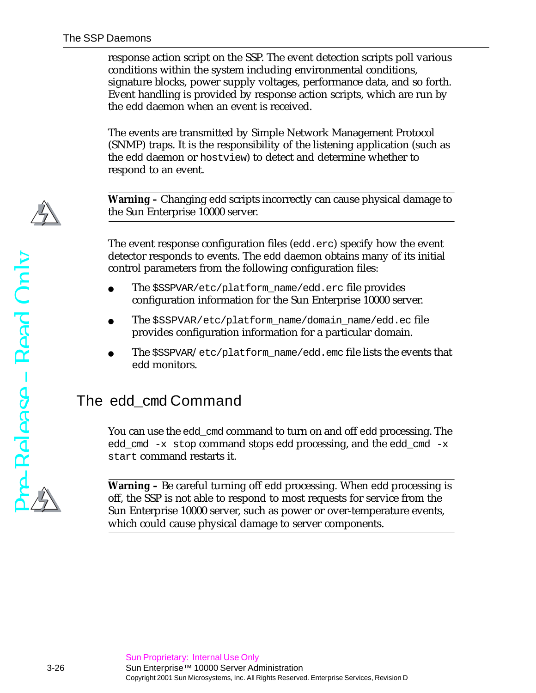response action script on the SSP. The event detection scripts poll various conditions within the system including environmental conditions, signature blocks, power supply voltages, performance data, and so forth. Event handling is provided by response action scripts, which are run by the edd daemon when an event is received.

The events are transmitted by Simple Network Management Protocol (SNMP) traps. It is the responsibility of the listening application (such as the edd daemon or hostview) to detect and determine whether to respond to an event.

**Warning –** Changing edd scripts incorrectly can cause physical damage to the Sun Enterprise 10000 server.

The event response configuration files (edd.erc) specify how the event detector responds to events. The edd daemon obtains many of its initial control parameters from the following configuration files:

- The \$SSPVAR/etc/platform\_name/edd.erc file provides configuration information for the Sun Enterprise 10000 server.
- The \$SSPVAR/etc/platform\_name/domain\_name/edd.ec file provides configuration information for a particular domain.
- The  $$SSPVAR/etc/plateform_name/edd$ .emc file lists the events that edd monitors.

#### The edd cmd Command

You can use the edd\_cmd command to turn on and off edd processing. The edd\_cmd  $-x$  stop command stops edd processing, and the edd\_cmd  $-x$ start command restarts it.

**Warning –** Be careful turning off edd processing. When edd processing is off, the SSP is not able to respond to most requests for service from the Sun Enterprise 10000 server, such as power or over-temperature events, which could cause physical damage to server components.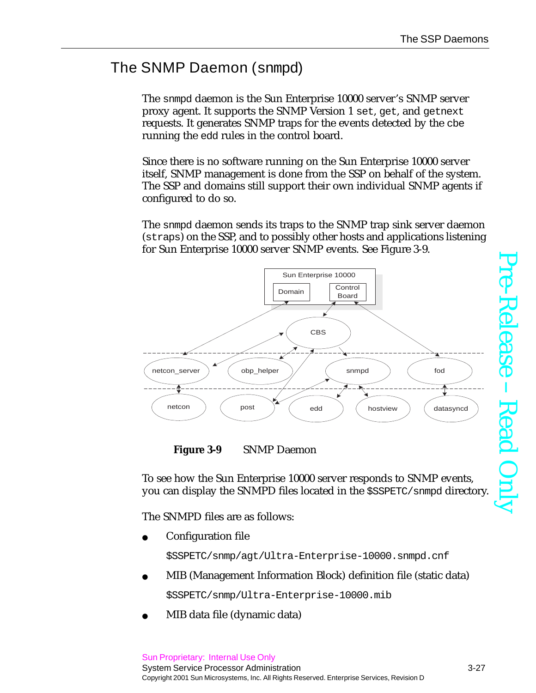## The SNMP Daemon (snmpd)

The snmpd daemon is the Sun Enterprise 10000 server's SNMP server proxy agent. It supports the SNMP Version 1 set, get, and getnext requests. It generates SNMP traps for the events detected by the cbe running the edd rules in the control board.

Since there is no software running on the Sun Enterprise 10000 server itself, SNMP management is done from the SSP on behalf of the system. The SSP and domains still support their own individual SNMP agents if configured to do so.

The snmpd daemon sends its traps to the SNMP trap sink server daemon (straps) on the SSP, and to possibly other hosts and applications listening for Sun Enterprise 10000 server SNMP events. See [Figure 3-9](#page-26-0).



<span id="page-26-0"></span>

To see how the Sun Enterprise 10000 server responds to SNMP events, you can display the SNMPD files located in the \$SSPETC/snmpd directory.

The SNMPD files are as follows:

Configuration file

\$SSPETC/snmp/agt/Ultra-Enterprise-10000.snmpd.cnf

MIB (Management Information Block) definition file (static data)

\$SSPETC/snmp/Ultra-Enterprise-10000.mib

MIB data file (dynamic data)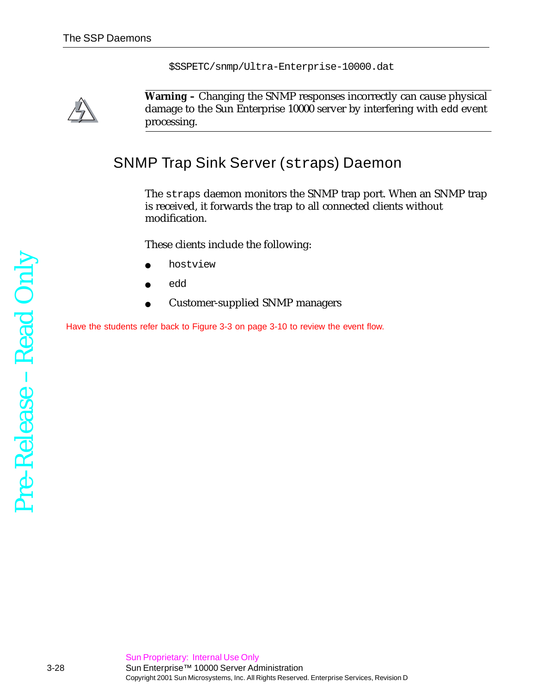\$SSPETC/snmp/Ultra-Enterprise-10000.dat



**Warning –** Changing the SNMP responses incorrectly can cause physical damage to the Sun Enterprise 10000 server by interfering with edd event processing.

## SNMP Trap Sink Server (straps) Daemon

The straps daemon monitors the SNMP trap port. When an SNMP trap is received, it forwards the trap to all connected clients without modification.

These clients include the following:

- hostview
- edd
- Customer-supplied SNMP managers

Have the students refer back to [Figure 3-3 on page 3-10](#page-9-0) to review the event flow.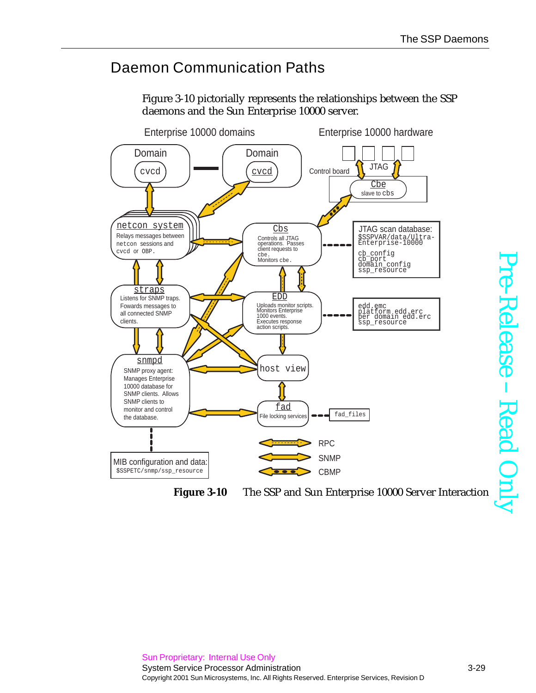### Daemon Communication Paths

[Figure 3-10](#page-28-0) pictorially represents the relationships between the SSP daemons and the Sun Enterprise 10000 server.



<span id="page-28-0"></span>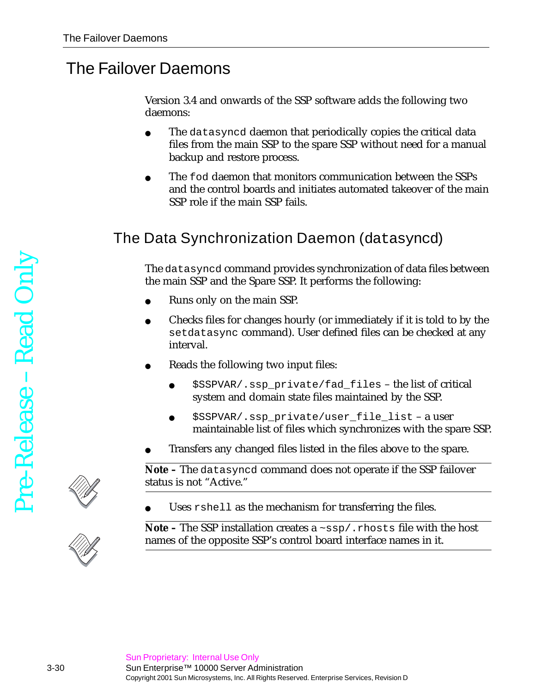## The Failover Daemons

Version 3.4 and onwards of the SSP software adds the following two daemons:

- The datasyncd daemon that periodically copies the critical data files from the main SSP to the spare SSP without need for a manual backup and restore process.
- The fod daemon that monitors communication between the SSPs and the control boards and initiates automated takeover of the main SSP role if the main SSP fails.

## The Data Synchronization Daemon (datasyncd)

The datasyncd command provides synchronization of data files between the main SSP and the Spare SSP. It performs the following:

- Runs only on the main SSP.
- Checks files for changes hourly (or immediately if it is told to by the setdatasync command). User defined files can be checked at any interval.
- Reads the following two input files:
	- \$SSPVAR/.ssp\_private/fad\_files the list of critical system and domain state files maintained by the SSP.
	- \$SSPVAR/.ssp\_private/user\_file\_list a user maintainable list of files which synchronizes with the spare SSP.
- Transfers any changed files listed in the files above to the spare.

**Note –** The datasyncd command does not operate if the SSP failover status is not "Active."

Uses  $r$  shell as the mechanism for transferring the files.

**Note –** The SSP installation creates a ~ssp/.rhosts file with the host names of the opposite SSP's control board interface names in it.

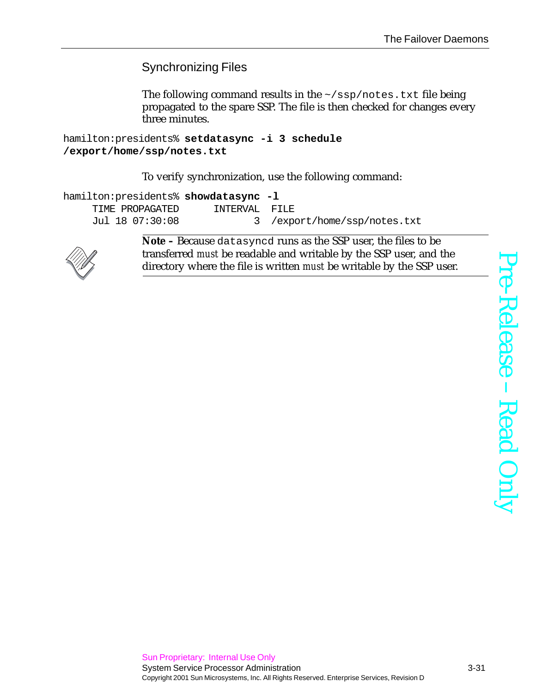Synchronizing Files

The following command results in the  $\sim$ /ssp/notes.txt file being propagated to the spare SSP. The file is then checked for changes every three minutes.

hamilton:presidents% **setdatasync -i 3 schedule /export/home/ssp/notes.txt**

To verify synchronization, use the following command:

| hamilton: presidents% showdatasync -1 |               |                              |
|---------------------------------------|---------------|------------------------------|
| TIME PROPAGATED                       | INTERVAL FILE |                              |
| Jul 18 07:30:08                       |               | 3 /export/home/ssp/notes.txt |



**Note –** Because datasyncd runs as the SSP user, the files to be transferred *must* be readable and writable by the SSP user, and the directory where the file is written *must* be writable by the SSP user.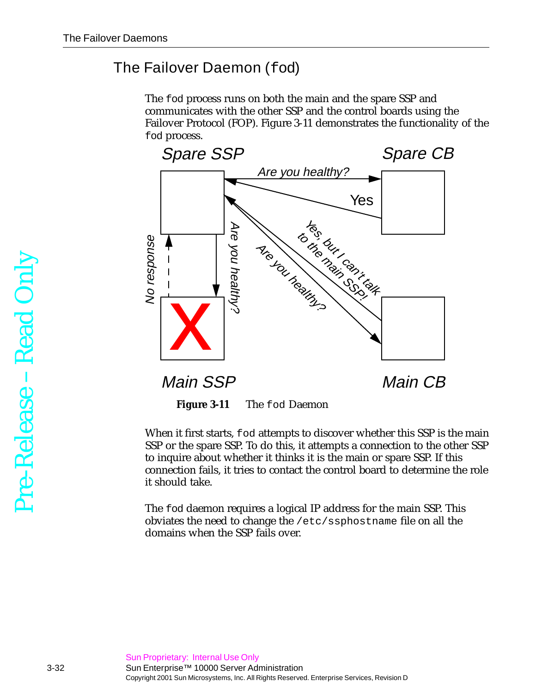### <span id="page-31-1"></span>The Failover Daemon (fod)

The fod process runs on both the main and the spare SSP and communicates with the other SSP and the control boards using the Failover Protocol (FOP). [Figure 3-11](#page-31-0) demonstrates the functionality of the fod process.



**Figure 3-11** The fod Daemon

<span id="page-31-0"></span>When it first starts, fod attempts to discover whether this SSP is the main SSP or the spare SSP. To do this, it attempts a connection to the other SSP to inquire about whether it thinks it is the main or spare SSP. If this connection fails, it tries to contact the control board to determine the role it should take.

The fod daemon requires a logical IP address for the main SSP. This obviates the need to change the /etc/ssphostname file on all the domains when the SSP fails over.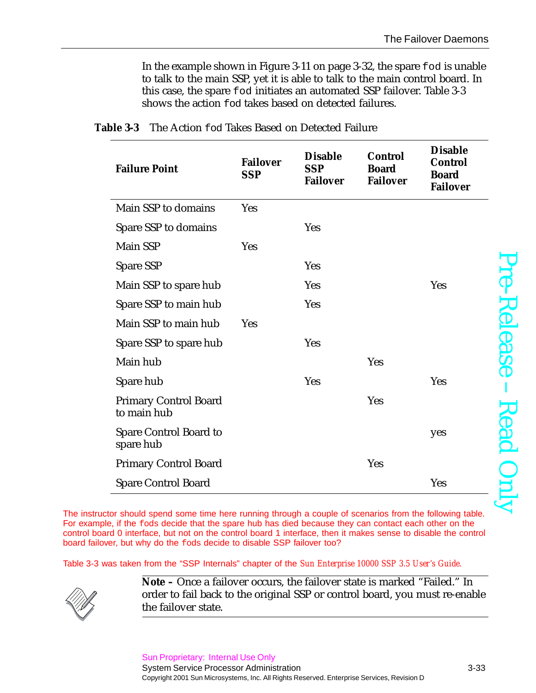In the example shown in [Figure 3-11 on page 3-32](#page-31-0), the spare fod is unable to talk to the main SSP, yet it is able to talk to the main control board. In this case, the spare fod initiates an automated SSP failover. [Table 3-3](#page-32-0) shows the action fod takes based on detected failures.

| <b>Failure Point</b>                        | <b>Failover</b><br><b>SSP</b> | <b>Disable</b><br><b>SSP</b><br><b>Failover</b> | <b>Control</b><br><b>Board</b><br><b>Failover</b> | <b>Disable</b><br><b>Control</b><br><b>Board</b><br><b>Failover</b> |
|---------------------------------------------|-------------------------------|-------------------------------------------------|---------------------------------------------------|---------------------------------------------------------------------|
| Main SSP to domains                         | <b>Yes</b>                    |                                                 |                                                   |                                                                     |
| Spare SSP to domains                        |                               | <b>Yes</b>                                      |                                                   |                                                                     |
| <b>Main SSP</b>                             | Yes                           |                                                 |                                                   |                                                                     |
| <b>Spare SSP</b>                            |                               | <b>Yes</b>                                      |                                                   |                                                                     |
| Main SSP to spare hub                       |                               | <b>Yes</b>                                      |                                                   | <b>Yes</b>                                                          |
| Spare SSP to main hub                       |                               | <b>Yes</b>                                      |                                                   |                                                                     |
| Main SSP to main hub                        | <b>Yes</b>                    |                                                 |                                                   |                                                                     |
| Spare SSP to spare hub                      |                               | <b>Yes</b>                                      |                                                   |                                                                     |
| Main hub                                    |                               |                                                 | <b>Yes</b>                                        |                                                                     |
| Spare hub                                   |                               | <b>Yes</b>                                      |                                                   | <b>Yes</b>                                                          |
| <b>Primary Control Board</b><br>to main hub |                               |                                                 | <b>Yes</b>                                        |                                                                     |
| <b>Spare Control Board to</b><br>spare hub  |                               |                                                 |                                                   | yes                                                                 |
| <b>Primary Control Board</b>                |                               |                                                 | Yes                                               |                                                                     |
| <b>Spare Control Board</b>                  |                               |                                                 |                                                   | Yes                                                                 |

<span id="page-32-0"></span>

| <b>Table 3-3</b> The Action fod Takes Based on Detected Failure |  |  |  |  |  |
|-----------------------------------------------------------------|--|--|--|--|--|
|-----------------------------------------------------------------|--|--|--|--|--|

The instructor should spend some time here running through a couple of scenarios from the following table. For example, if the fods decide that the spare hub has died because they can contact each other on the control board 0 interface, but not on the control board 1 interface, then it makes sense to disable the control board failover, but why do the fods decide to disable SSP failover too?

[Table 3-3](#page-32-0) was taken from the "SSP Internals" chapter of the *Sun Enterprise 10000 SSP 3.5 User's Guide.*



**Note –** Once a failover occurs, the failover state is marked "Failed." In order to fail back to the original SSP or control board, you must re-enable the failover state.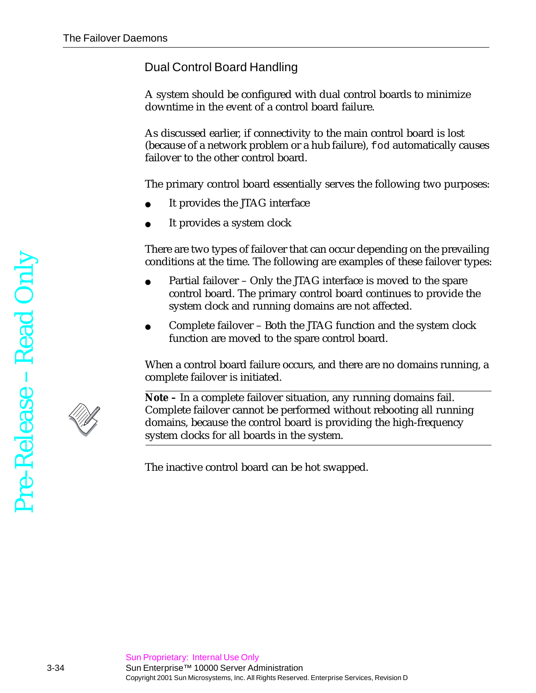#### Dual Control Board Handling

A system should be configured with dual control boards to minimize downtime in the event of a control board failure.

As discussed earlier, if connectivity to the main control board is lost (because of a network problem or a hub failure), fod automatically causes failover to the other control board.

The primary control board essentially serves the following two purposes:

- It provides the JTAG interface
- It provides a system clock

There are two types of failover that can occur depending on the prevailing conditions at the time. The following are examples of these failover types:

- Partial failover Only the JTAG interface is moved to the spare control board. The primary control board continues to provide the system clock and running domains are not affected.
- Complete failover Both the JTAG function and the system clock function are moved to the spare control board.

When a control board failure occurs, and there are no domains running, a complete failover is initiated.



**Note –** In a complete failover situation, any running domains fail. Complete failover cannot be performed without rebooting all running domains, because the control board is providing the high-frequency system clocks for all boards in the system.

The inactive control board can be hot swapped.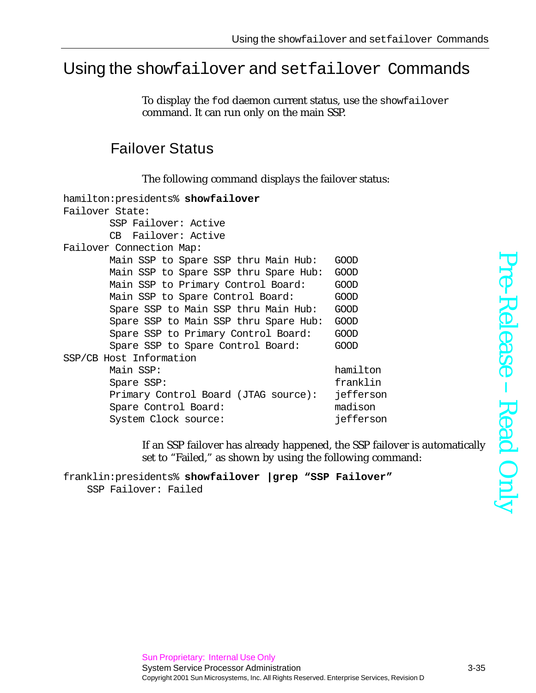## Using the showfailover and setfailover Commands

To display the fod daemon current status, use the showfailover command. It can run only on the main SSP.

### Failover Status

The following command displays the failover status:

| hamilton:presidents% showfailover     |             |
|---------------------------------------|-------------|
| Failover State:                       |             |
| SSP Failover: Active                  |             |
| CB Failover: Active                   |             |
| Failover Connection Map:              |             |
| Main SSP to Spare SSP thru Main Hub:  | <b>GOOD</b> |
| Main SSP to Spare SSP thru Spare Hub: | GOOD        |
| Main SSP to Primary Control Board:    | <b>GOOD</b> |
| Main SSP to Spare Control Board:      | <b>GOOD</b> |
| Spare SSP to Main SSP thru Main Hub:  | <b>GOOD</b> |
| Spare SSP to Main SSP thru Spare Hub: | <b>GOOD</b> |
| Spare SSP to Primary Control Board:   | <b>GOOD</b> |
| Spare SSP to Spare Control Board:     | GOOD        |
| SSP/CB Host Information               |             |
| Main SSP:                             | hamilton    |
| Spare SSP:                            | franklin    |
| Primary Control Board (JTAG source):  | jefferson   |
| Spare Control Board:                  | madison     |
| System Clock source:                  | jefferson   |

If an SSP failover has already happened, the SSP failover is automatically set to "Failed," as shown by using the following command:

```
franklin:presidents% showfailover |grep "SSP Failover"
   SSP Failover: Failed
```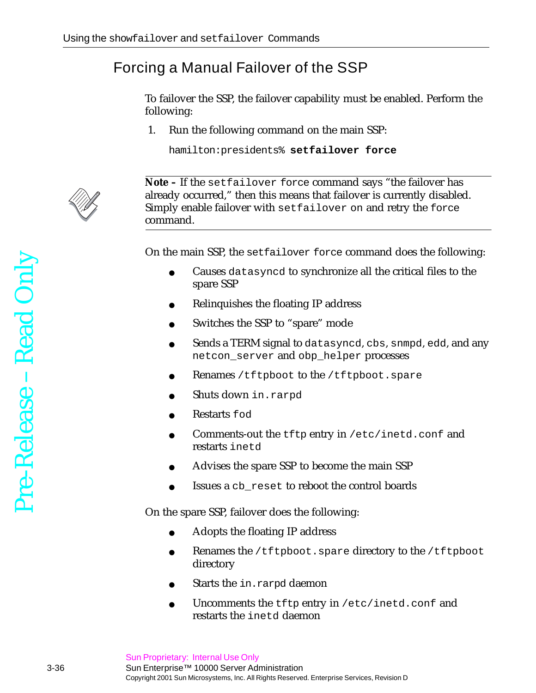## Forcing a Manual Failover of the SSP

To failover the SSP, the failover capability must be enabled. Perform the following:

1. Run the following command on the main SSP:

hamilton:presidents% **setfailover force**



**Note –** If the setfailover force command says "the failover has already occurred," then this means that failover is currently disabled. Simply enable failover with setfailover on and retry the force command.

On the main SSP, the setfailover force command does the following:

- Causes datasyncd to synchronize all the critical files to the spare SSP
- Relinquishes the floating IP address
- Switches the SSP to "spare" mode
- Sends a TERM signal to datasyncd, cbs, snmpd, edd, and any netcon\_server and obp\_helper processes
- Renames /tftpboot to the /tftpboot.spare
- Shuts down in.rarpd
- Restarts fod
- Comments-out the tftp entry in /etc/inetd.conf and restarts inetd
- Advises the spare SSP to become the main SSP
- Issues a cb\_reset to reboot the control boards

On the spare SSP, failover does the following:

- Adopts the floating IP address
- Renames the /tftpboot.spare directory to the /tftpboot directory
- Starts the in.rarpd daemon
- Uncomments the  $t$ ftp entry in /etc/inetd.conf and restarts the inetd daemon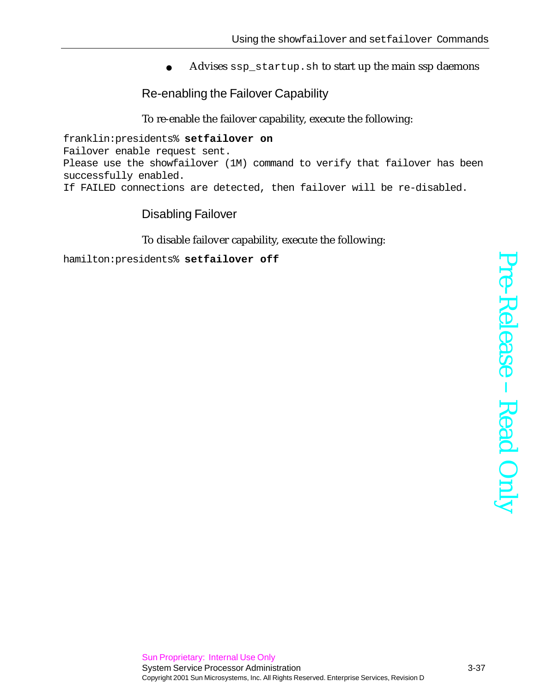Advises ssp\_startup.sh to start up the main ssp daemons

Re-enabling the Failover Capability

To re-enable the failover capability, execute the following:

franklin:presidents% **setfailover on** Failover enable request sent. Please use the showfailover (1M) command to verify that failover has been successfully enabled. If FAILED connections are detected, then failover will be re-disabled.

#### Disabling Failover

To disable failover capability, execute the following:

hamilton:presidents% **setfailover off**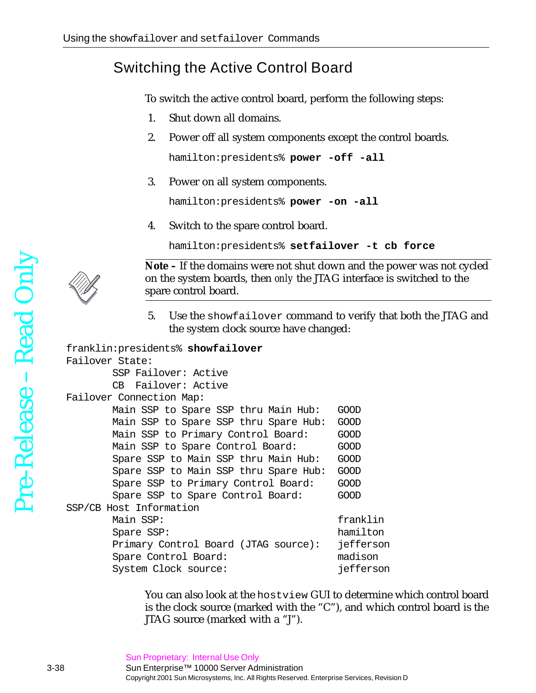## Switching the Active Control Board

To switch the active control board, perform the following steps:

- 1. Shut down all domains.
- 2. Power off all system components except the control boards.

hamilton:presidents% **power -off -all**

3. Power on all system components.

hamilton:presidents% **power -on -all**

4. Switch to the spare control board.

hamilton:presidents% **setfailover -t cb force**



**Note –** If the domains were not shut down and the power was not cycled on the system boards, then *only* the JTAG interface is switched to the spare control board.

5. Use the showfailover command to verify that both the JTAG and the system clock source have changed:

```
franklin:presidents% showfailover
Failover State:
        SSP Failover: Active
        CB Failover: Active
Failover Connection Map:
        Main SSP to Spare SSP thru Main Hub: GOOD
        Main SSP to Spare SSP thru Spare Hub: GOOD
       Main SSP to Primary Control Board: GOOD
       Main SSP to Spare Control Board: GOOD
        Spare SSP to Main SSP thru Main Hub: GOOD
        Spare SSP to Main SSP thru Spare Hub: GOOD
        Spare SSP to Primary Control Board: GOOD
       Spare SSP to Spare Control Board: GOOD
SSP/CB Host Information
        Main SSP: franklin
        Spare SSP: hamilton
        Primary Control Board (JTAG source): jefferson
        Spare Control Board: madison
       System Clock source: interest in the system clock source:
```
You can also look at the hostview GUI to determine which control board is the clock source (marked with the "C"), and which control board is the JTAG source (marked with a "J").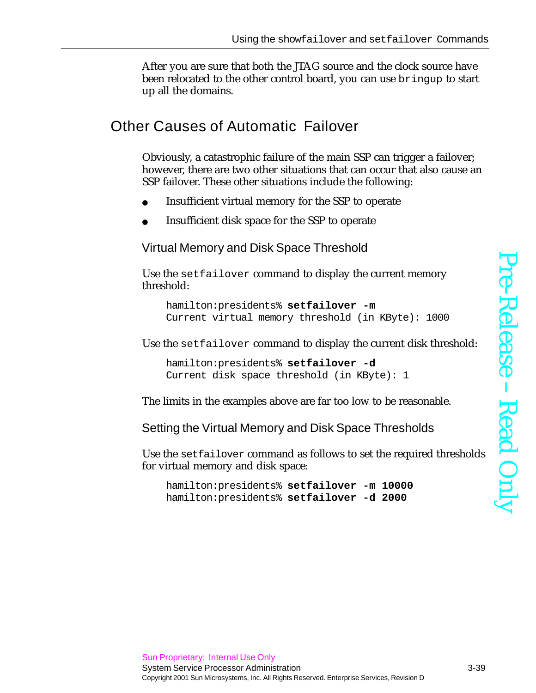After you are sure that both the JTAG source and the clock source have been relocated to the other control board, you can use bringup to start up all the domains.

#### Other Causes of Automatic Failover

Obviously, a catastrophic failure of the main SSP can trigger a failover; however, there are two other situations that can occur that also cause an SSP failover. These other situations include the following:

- Insufficient virtual memory for the SSP to operate
- Insufficient disk space for the SSP to operate

Virtual Memory and Disk Space Threshold

Use the setfailover command to display the current memory threshold:

```
hamilton:presidents% setfailover -m
Current virtual memory threshold (in KByte): 1000
```
Use the setfailover command to display the current disk threshold:

hamilton:presidents% **setfailover -d** Current disk space threshold (in KByte): 1

The limits in the examples above are far too low to be reasonable.

Setting the Virtual Memory and Disk Space Thresholds

Use the setfailover command as follows to set the required thresholds for virtual memory and disk space:

hamilton:presidents% **setfailover -m 10000** hamilton:presidents% **setfailover -d 2000**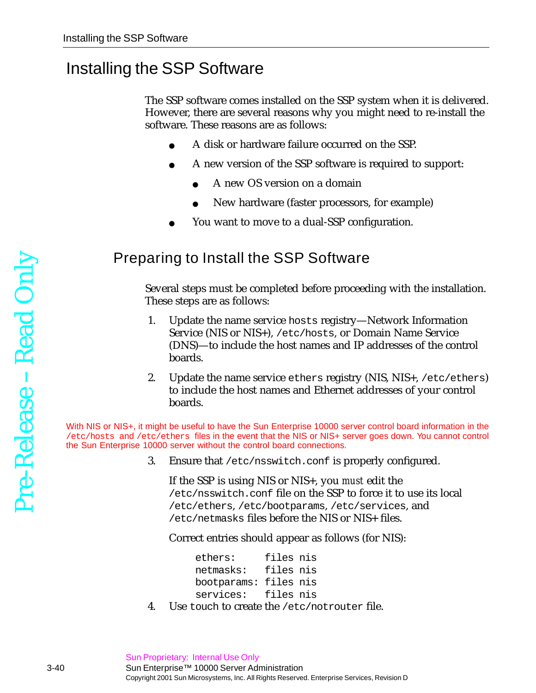## Installing the SSP Software

The SSP software comes installed on the SSP system when it is delivered. However, there are several reasons why you might need to re-install the software. These reasons are as follows:

- A disk or hardware failure occurred on the SSP.
- A new version of the SSP software is required to support:
	- A new OS version on a domain
	- New hardware (faster processors, for example)
- You want to move to a dual-SSP configuration.

#### Preparing to Install the SSP Software

Several steps must be completed before proceeding with the installation. These steps are as follows:

- 1. Update the name service hosts registry—Network Information Service (NIS or NIS+), /etc/hosts, or Domain Name Service (DNS)—to include the host names and IP addresses of the control boards.
- 2. Update the name service ethers registry (NIS, NIS+, /etc/ethers) to include the host names and Ethernet addresses of your control boards.

With NIS or NIS+, it might be useful to have the Sun Enterprise 10000 server control board information in the /etc/hosts and /etc/ethers files in the event that the NIS or NIS+ server goes down. You cannot control the Sun Enterprise 10000 server without the control board connections.

3. Ensure that /etc/nsswitch.conf is properly configured.

If the SSP is using NIS or NIS+, you *must* edit the /etc/nsswitch.conf file on the SSP to force it to use its local /etc/ethers, /etc/bootparams, /etc/services, and /etc/netmasks files before the NIS or NIS+ files.

Correct entries should appear as follows (for NIS):

ethers: files nis netmasks: files nis bootparams: files nis services: files nis

4. Use touch to create the /etc/notrouter file.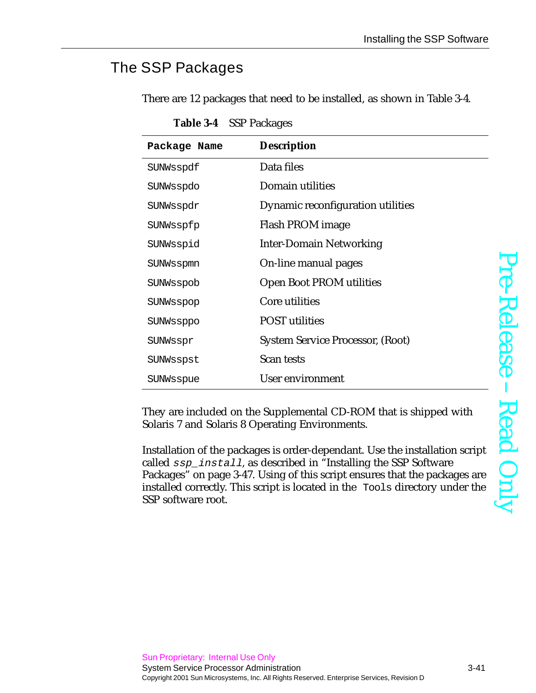## The SSP Packages

There are 12 packages that need to be installed, as shown in [Table 3-4](#page-40-0).

<span id="page-40-0"></span>

| Package Name | <b>Description</b>                      |
|--------------|-----------------------------------------|
| SUNWsspdf    | Data files                              |
| SUNWsspdo    | Domain utilities                        |
| SUNWsspdr    | Dynamic reconfiguration utilities       |
| SUNWsspfp    | Flash PROM image                        |
| SUNWsspid    | <b>Inter-Domain Networking</b>          |
| SUNWsspmn    | On-line manual pages                    |
| SUNWsspob    | <b>Open Boot PROM utilities</b>         |
| SUNWsspop    | Core utilities                          |
| SUNWssppo    | <b>POST</b> utilities                   |
| SUNWsspr     | <b>System Service Processor, (Root)</b> |
| SUNWsspst    | Scan tests                              |
| SUNWsspue    | <b>User environment</b>                 |

**Table 3-4** SSP Packages

They are included on the Supplemental CD-ROM that is shipped with Solaris 7 and Solaris 8 Operating Environments.

Installation of the packages is order-dependant. Use the installation script called ssp\_install, as described in "Installing the SSP Software Packages" on page 3-47. Using of this script ensures that the packages are installed correctly. This script is located in the Tools directory under the SSP software root.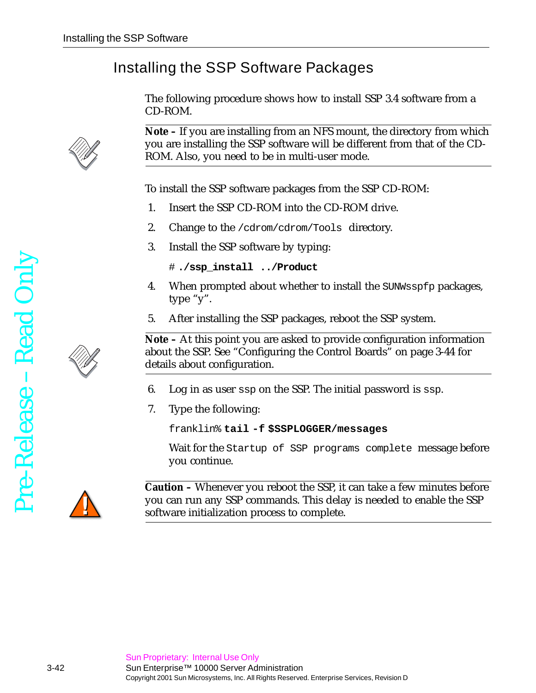## Installing the SSP Software Packages

The following procedure shows how to install SSP 3.4 software from a CD-ROM.

**Note –** If you are installing from an NFS mount, the directory from which you are installing the SSP software will be different from that of the CD-ROM. Also, you need to be in multi-user mode.

To install the SSP software packages from the SSP CD-ROM:

- 1. Insert the SSP CD-ROM into the CD-ROM drive.
- 2. Change to the /cdrom/cdrom/Tools directory.
- 3. Install the SSP software by typing:

```
# ./ssp_install ../Product
```
- 4. When prompted about whether to install the SUNWsspfp packages, type "y".
- 5. After installing the SSP packages, reboot the SSP system.

**Note –** At this point you are asked to provide configuration information about the SSP. See ["Configuring the Control Boards" on page 3-44](#page-43-0) for details about configuration.

- 6. Log in as user ssp on the SSP. The initial password is ssp.
- 7. Type the following:

franklin% **tail -f \$SSPLOGGER/messages**

Wait for the Startup of SSP programs complete message before you continue.



**Caution –** Whenever you reboot the SSP, it can take a few minutes before you can run any SSP commands. This delay is needed to enable the SSP software initialization process to complete.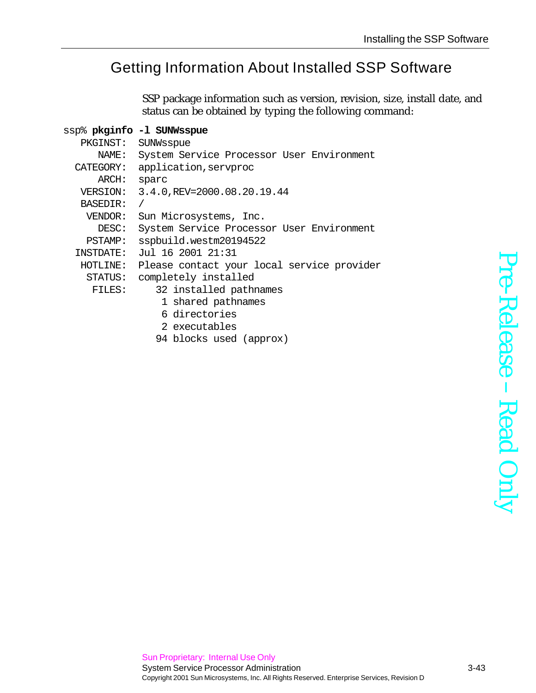## Getting Information About Installed SSP Software

SSP package information such as version, revision, size, install date, and status can be obtained by typing the following command:

|                 | ssp% <b>pkginfo -l SUNWsspue</b>           |
|-----------------|--------------------------------------------|
| PKGINST:        | SUNWsspue                                  |
| NAME:           | System Service Processor User Environment  |
| CATEGORY:       | application, servproc                      |
| ARCH:           | sparc                                      |
| VERSION:        | 3.4.0, REV=2000.08.20.19.44                |
| <b>BASEDIR:</b> |                                            |
| VENDOR:         | Sun Microsystems, Inc.                     |
| DESC:           | System Service Processor User Environment  |
| <b>PSTAMP:</b>  | sspbuild.westm20194522                     |
| INSTDATE:       | Jul 16 2001 21:31                          |
| HOTLINE:        | Please contact your local service provider |
| STATUS:         | completely installed                       |
| FILES:          | 32 installed pathnames                     |
|                 | 1 shared pathnames                         |
|                 | 6 directories                              |
|                 | 2 executables                              |
|                 | 94 blocks used (approx)                    |
|                 |                                            |

Pre-ReleaseRead Only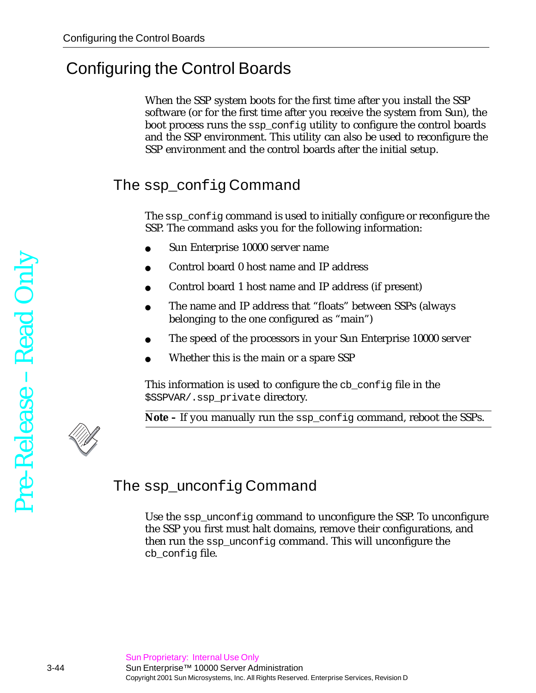# <span id="page-43-0"></span>Configuring the Control Boards

When the SSP system boots for the first time after you install the SSP software (or for the first time after you receive the system from Sun), the boot process runs the ssp\_config utility to configure the control boards and the SSP environment. This utility can also be used to reconfigure the SSP environment and the control boards after the initial setup.

## The ssp\_config Command

The ssp\_config command is used to initially configure or reconfigure the SSP. The command asks you for the following information:

- Sun Enterprise 10000 server name
- Control board 0 host name and IP address
- Control board 1 host name and IP address (if present)
- The name and IP address that "floats" between SSPs (always belonging to the one configured as "main")
- The speed of the processors in your Sun Enterprise 10000 server
- Whether this is the main or a spare SSP

This information is used to configure the cb\_config file in the \$SSPVAR/.ssp\_private directory.

**Note –** If you manually run the ssp\_config command, reboot the SSPs.



## The ssp\_unconfig Command

Use the ssp\_unconfig command to unconfigure the SSP. To unconfigure the SSP you first must halt domains, remove their configurations, and then run the ssp\_unconfig command. This will unconfigure the cb config file.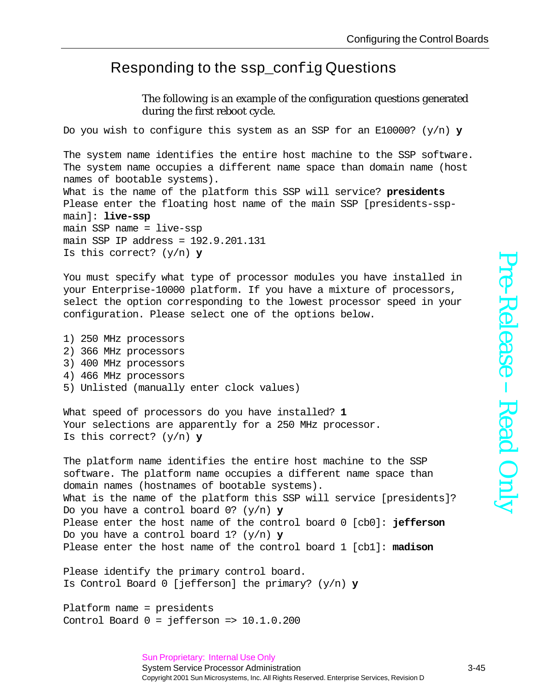#### <span id="page-44-0"></span>Responding to the ssp\_config Questions

The following is an example of the configuration questions generated during the first reboot cycle.

Do you wish to configure this system as an SSP for an E10000? (y/n) **y**

The system name identifies the entire host machine to the SSP software. The system name occupies a different name space than domain name (host names of bootable systems).

What is the name of the platform this SSP will service? **presidents** Please enter the floating host name of the main SSP [presidents-sspmain]: **live-ssp** main SSP name = live-ssp main SSP IP address = 192.9.201.131 Is this correct? (y/n) **y**

You must specify what type of processor modules you have installed in your Enterprise-10000 platform. If you have a mixture of processors, select the option corresponding to the lowest processor speed in your configuration. Please select one of the options below.

1) 250 MHz processors 2) 366 MHz processors 3) 400 MHz processors 4) 466 MHz processors 5) Unlisted (manually enter clock values)

What speed of processors do you have installed? **1** Your selections are apparently for a 250 MHz processor. Is this correct? (y/n) **y**

The platform name identifies the entire host machine to the SSP software. The platform name occupies a different name space than domain names (hostnames of bootable systems). What is the name of the platform this SSP will service [presidents]? Do you have a control board 0? (y/n) **y** Please enter the host name of the control board 0 [cb0]: **jefferson** Do you have a control board 1? (y/n) **y** Please enter the host name of the control board 1 [cb1]: **madison**

Please identify the primary control board. Is Control Board 0 [jefferson] the primary? (y/n) **y**

Platform name = presidents Control Board  $0 =$  jefferson =>  $10.1.0.200$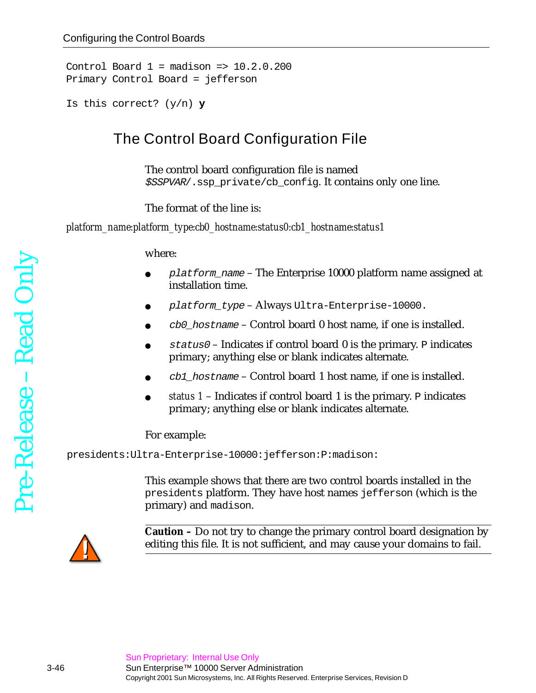Control Board  $1 =$  madison =>  $10.2.0.200$ Primary Control Board = jefferson

```
Is this correct? (y/n) y
```
### The Control Board Configuration File

The control board configuration file is named \$SSPVAR/.ssp\_private/cb\_config. It contains only one line.

The format of the line is:

*platform\_name:platform\_type:cb0\_hostname:status0:cb1\_hostname:status1*

where:

- $p$ latform\_name The Enterprise 10000 platform name assigned at installation time.
- $platform_type Always Ultra-Enterprise-10000.$
- $\text{c}$ b0 hostname Control board 0 host name, if one is installed.
- $status0 Indicates$  if control board 0 is the primary. P indicates primary; anything else or blank indicates alternate.
- $\text{cbl}$  hostname Control board 1 host name, if one is installed.
- *status 1* Indicates if control board 1 is the primary. P indicates primary; anything else or blank indicates alternate.

For example:

presidents:Ultra-Enterprise-10000:jefferson:P:madison:

This example shows that there are two control boards installed in the presidents platform. They have host names jefferson (which is the primary) and madison.



**Caution –** Do not try to change the primary control board designation by editing this file. It is not sufficient, and may cause your domains to fail.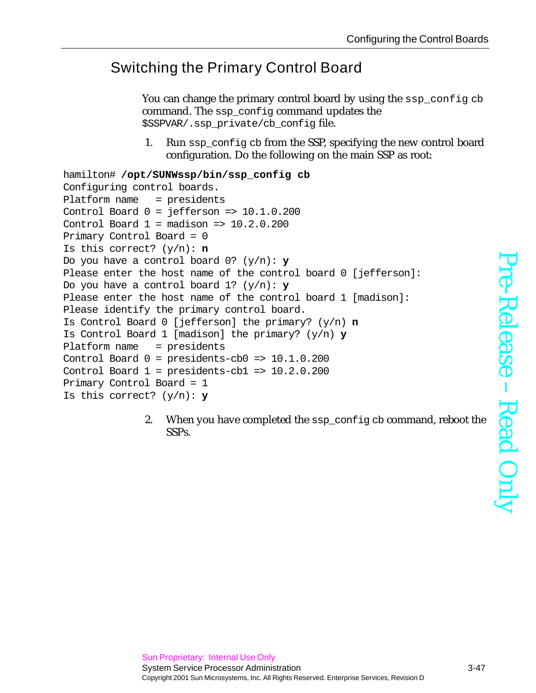## Switching the Primary Control Board

You can change the primary control board by using the ssp\_config cb command. The ssp\_config command updates the \$SSPVAR/.ssp\_private/cb\_config file.

1. Run ssp\_config cb from the SSP, specifying the new control board configuration. Do the following on the main SSP as root:

```
hamilton# /opt/SUNWssp/bin/ssp_config cb
Configuring control boards.
Platform name = presidents
Control Board 0 = jefferson => 10.1.0.200Control Board 1 = madison => 10.2.0.200Primary Control Board = 0
Is this correct? (y/n): n
Do you have a control board 0? (y/n): y
Please enter the host name of the control board 0 [jefferson]:
Do you have a control board 1? (y/n): y
Please enter the host name of the control board 1 [madison]:
Please identify the primary control board.
Is Control Board 0 [jefferson] the primary? (y/n) n
Is Control Board 1 [madison] the primary? (y/n) y
Platform name = presidents
Control Board 0 = presidents-cb0 => 10.1.0.200
Control Board 1 = presidents-cb1 => 10.2.0.200
Primary Control Board = 1
Is this correct? (y/n): y
```
2. When you have completed the ssp\_config cb command, reboot the SSPs.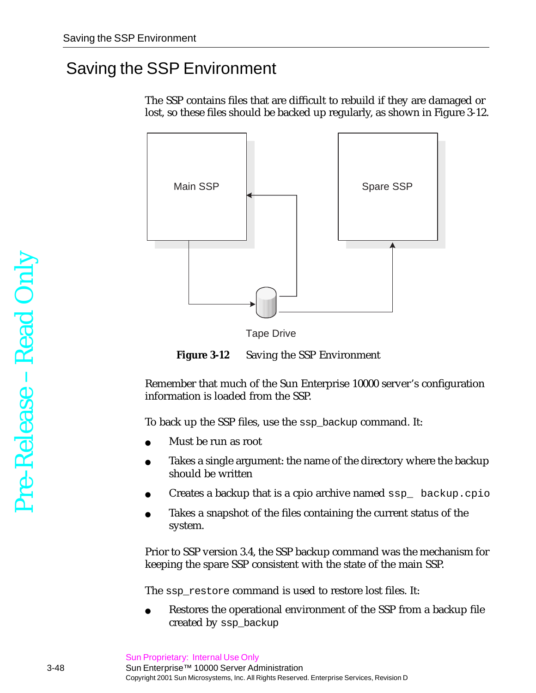## Saving the SSP Environment

The SSP contains files that are difficult to rebuild if they are damaged or lost, so these files should be backed up regularly, as shown in [Figure 3-12](#page-47-0).



Tape Drive

**Figure 3-12** Saving the SSP Environment

<span id="page-47-0"></span>Remember that much of the Sun Enterprise 10000 server's configuration information is loaded from the SSP.

To back up the SSP files, use the ssp\_backup command. It:

- Must be run as root
- Takes a single argument: the name of the directory where the backup should be written
- Creates a backup that is a cpio archive named  $\text{ssp}_{\perp}$  backup.cpio
- Takes a snapshot of the files containing the current status of the system.

Prior to SSP version 3.4, the SSP backup command was the mechanism for keeping the spare SSP consistent with the state of the main SSP.

The ssp\_restore command is used to restore lost files. It:

Restores the operational environment of the SSP from a backup file created by ssp\_backup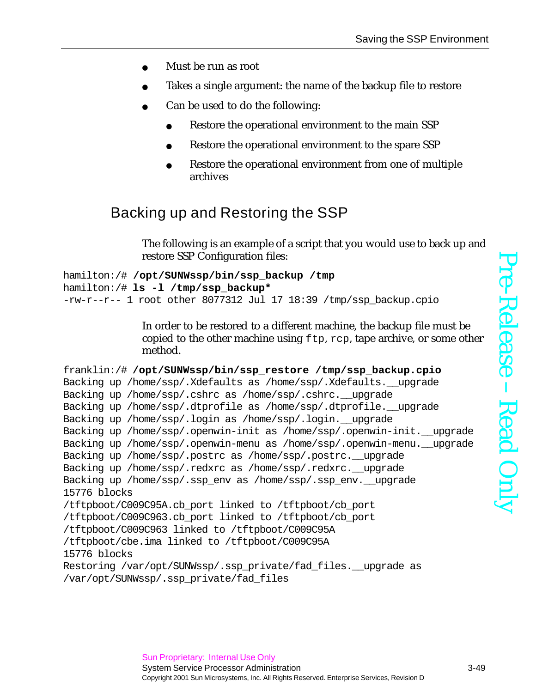- Must be run as root
- Takes a single argument: the name of the backup file to restore
- Can be used to do the following:
	- Restore the operational environment to the main SSP
	- Restore the operational environment to the spare SSP
	- Restore the operational environment from one of multiple archives

## Backing up and Restoring the SSP

The following is an example of a script that you would use to back up and restore SSP Configuration files:

```
hamilton:/# /opt/SUNWssp/bin/ssp_backup /tmp
hamilton:/# ls -l /tmp/ssp_backup*
-rw-r--1 root other 8077312 Jul 17 18:39 /tmp/ssp backup.cpio
```
In order to be restored to a different machine, the backup file must be copied to the other machine using  $ftp$ ,  $rep$ , tape archive, or some other method.

```
franklin:/# /opt/SUNWssp/bin/ssp_restore /tmp/ssp_backup.cpio
Backing up /home/ssp/.Xdefaults as /home/ssp/.Xdefaults.__upgrade
Backing up /home/ssp/.cshrc as /home/ssp/.cshrc.__upgrade
Backing up /home/ssp/.dtprofile as /home/ssp/.dtprofile.__upgrade
Backing up /home/ssp/.login as /home/ssp/.login.__upgrade
Backing up /home/ssp/.openwin-init as /home/ssp/.openwin-init.__upgrade
Backing up /home/ssp/.openwin-menu as /home/ssp/.openwin-menu.__upgrade
Backing up /home/ssp/.postrc as /home/ssp/.postrc.__upgrade
Backing up /home/ssp/.redxrc as /home/ssp/.redxrc.__upgrade
Backing up /home/ssp/.ssp_env as /home/ssp/.ssp_env.__upgrade
15776 blocks
/tftpboot/C009C95A.cb_port linked to /tftpboot/cb_port
/tftpboot/C009C963.cb_port linked to /tftpboot/cb_port
/tftpboot/C009C963 linked to /tftpboot/C009C95A
/tftpboot/cbe.ima linked to /tftpboot/C009C95A
15776 blocks
Restoring /var/opt/SUNWssp/.ssp_private/fad_files.__upgrade as
/var/opt/SUNWssp/.ssp_private/fad_files
```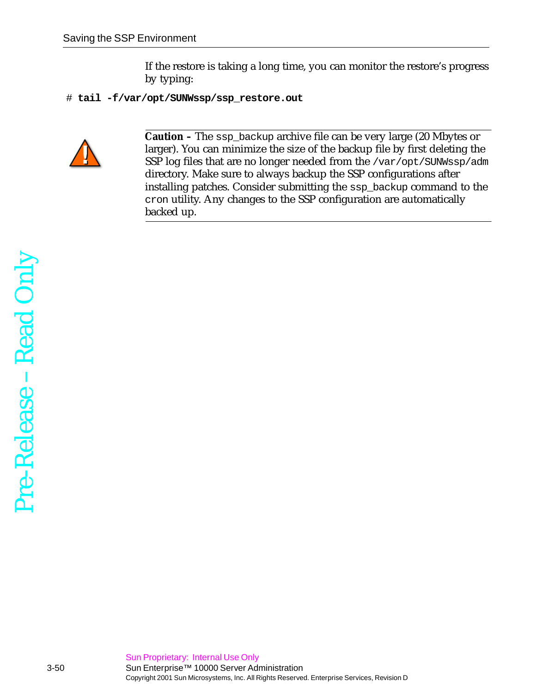If the restore is taking a long time, you can monitor the restore's progress by typing:

# **tail -f/var/opt/SUNWssp/ssp\_restore.out**



**Caution –** The ssp\_backup archive file can be very large (20 Mbytes or larger). You can minimize the size of the backup file by first deleting the SSP log files that are no longer needed from the /var/opt/SUNWssp/adm directory. Make sure to always backup the SSP configurations after installing patches. Consider submitting the ssp\_backup command to the cron utility. Any changes to the SSP configuration are automatically backed up.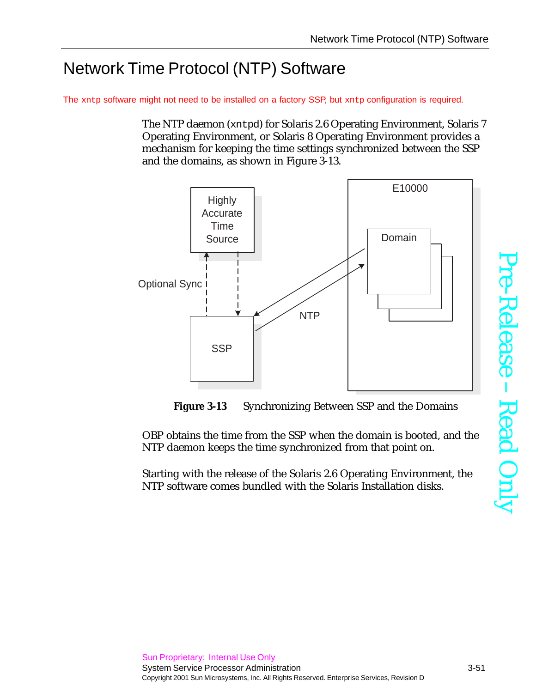# Network Time Protocol (NTP) Software

The xntp software might not need to be installed on a factory SSP, but xntp configuration is required.

The NTP daemon (xntpd) for Solaris 2.6 Operating Environment, Solaris 7 Operating Environment, or Solaris 8 Operating Environment provides a mechanism for keeping the time settings synchronized between the SSP and the domains, as shown in [Figure 3-13](#page-50-0).





<span id="page-50-0"></span>OBP obtains the time from the SSP when the domain is booted, and the NTP daemon keeps the time synchronized from that point on.

Starting with the release of the Solaris 2.6 Operating Environment, the NTP software comes bundled with the Solaris Installation disks.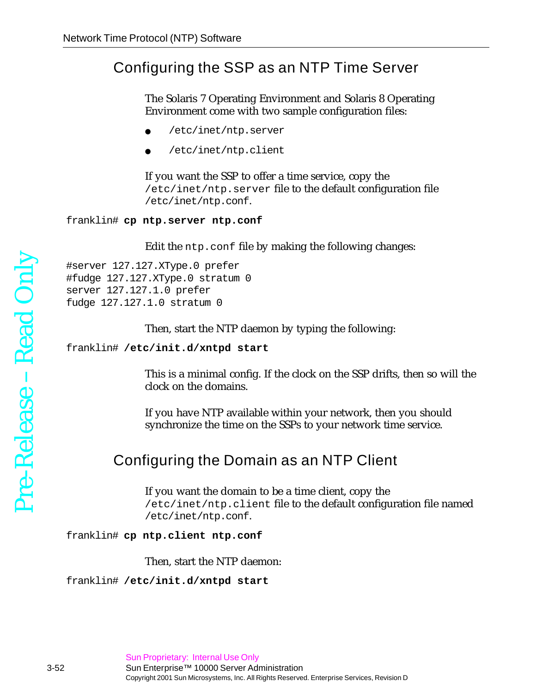#### Configuring the SSP as an NTP Time Server

The Solaris 7 Operating Environment and Solaris 8 Operating Environment come with two sample configuration files:

- /etc/inet/ntp.server
- /etc/inet/ntp.client

If you want the SSP to offer a time service, copy the /etc/inet/ntp.server file to the default configuration file /etc/inet/ntp.conf.

franklin# **cp ntp.server ntp.conf**

Edit the ntp.conf file by making the following changes:

#server 127.127.XType.0 prefer #fudge 127.127.XType.0 stratum 0 server 127.127.1.0 prefer fudge 127.127.1.0 stratum 0

Then, start the NTP daemon by typing the following:

franklin# **/etc/init.d/xntpd start**

This is a minimal config. If the clock on the SSP drifts, then so will the clock on the domains.

If you have NTP available within your network, then you should synchronize the time on the SSPs to your network time service.

#### Configuring the Domain as an NTP Client

If you want the domain to be a time client, copy the /etc/inet/ntp.client file to the default configuration file named /etc/inet/ntp.conf.

#### franklin# **cp ntp.client ntp.conf**

Then, start the NTP daemon:

franklin# **/etc/init.d/xntpd start**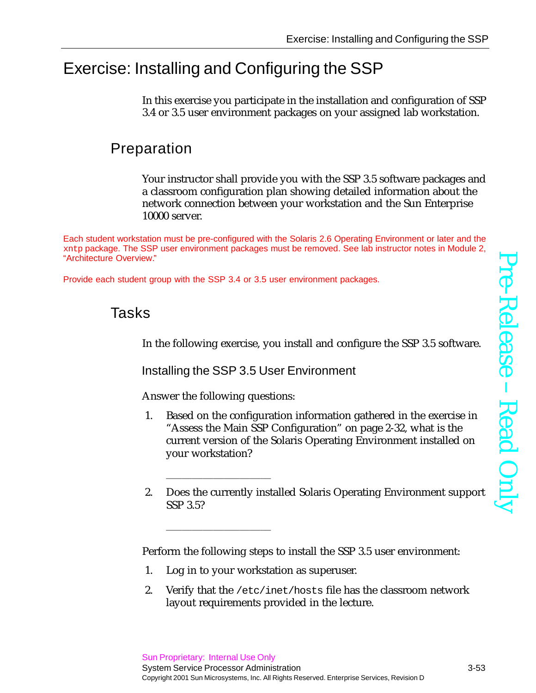# Exercise: Installing and Configuring the SSP

In this exercise you participate in the installation and configuration of SSP 3.4 or 3.5 user environment packages on your assigned lab workstation.

## Preparation

Your instructor shall provide you with the SSP 3.5 software packages and a classroom configuration plan showing detailed information about the network connection between your workstation and the Sun Enterprise 10000 server.

Each student workstation must be pre-configured with the Solaris 2.6 Operating Environment or later and the xntp package. The SSP user environment packages must be removed. See lab instructor notes in Module 2, "Architecture Overview."

Provide each student group with the SSP 3.4 or 3.5 user environment packages.

### Tasks

In the following exercise, you install and configure the SSP 3.5 software.

Installing the SSP 3.5 User Environment

Answer the following questions:

\_\_\_\_\_\_\_\_\_\_\_\_\_\_\_\_\_\_\_\_

\_\_\_\_\_\_\_\_\_\_\_\_\_\_\_\_\_\_\_\_

- 1. Based on the configuration information gathered in the exercise in "Assess the Main SSP Configuration" on page 2-32, what is the current version of the Solaris Operating Environment installed on your workstation?
- 2. Does the currently installed Solaris Operating Environment support SSP 3.5?

Perform the following steps to install the SSP 3.5 user environment:

- 1. Log in to your workstation as superuser.
- 2. Verify that the /etc/inet/hosts file has the classroom network layout requirements provided in the lecture.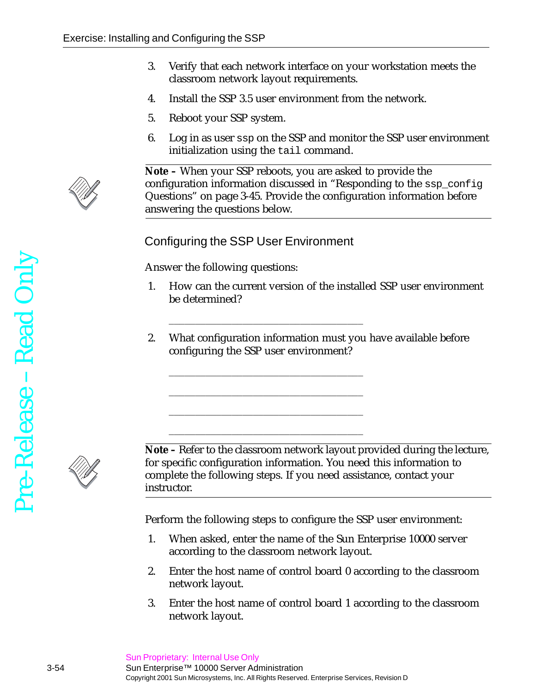- 3. Verify that each network interface on your workstation meets the classroom network layout requirements.
- 4. Install the SSP 3.5 user environment from the network.
- 5. Reboot your SSP system.
- 6. Log in as user ssp on the SSP and monitor the SSP user environment initialization using the tail command.



**Note –** When your SSP reboots, you are asked to provide the configuration information discussed in ["Responding to the](#page-44-0) ssp\_config [Questions" on page 3-45](#page-44-0). Provide the configuration information before answering the questions below.

Configuring the SSP User Environment

\_\_\_\_\_\_\_\_\_\_\_\_\_\_\_\_\_\_\_\_\_\_\_\_\_\_\_\_\_\_\_\_\_\_\_\_\_

\_\_\_\_\_\_\_\_\_\_\_\_\_\_\_\_\_\_\_\_\_\_\_\_\_\_\_\_\_\_\_\_\_\_\_\_\_

\_\_\_\_\_\_\_\_\_\_\_\_\_\_\_\_\_\_\_\_\_\_\_\_\_\_\_\_\_\_\_\_\_\_\_\_\_

\_\_\_\_\_\_\_\_\_\_\_\_\_\_\_\_\_\_\_\_\_\_\_\_\_\_\_\_\_\_\_\_\_\_\_\_\_

\_\_\_\_\_\_\_\_\_\_\_\_\_\_\_\_\_\_\_\_\_\_\_\_\_\_\_\_\_\_\_\_\_\_\_\_\_

Answer the following questions:

- 1. How can the current version of the installed SSP user environment be determined?
- 2. What configuration information must you have available before configuring the SSP user environment?



**Note –** Refer to the classroom network layout provided during the lecture, for specific configuration information. You need this information to complete the following steps. If you need assistance, contact your instructor.

Perform the following steps to configure the SSP user environment:

- 1. When asked, enter the name of the Sun Enterprise 10000 server according to the classroom network layout.
- 2. Enter the host name of control board 0 according to the classroom network layout.
- 3. Enter the host name of control board 1 according to the classroom network layout.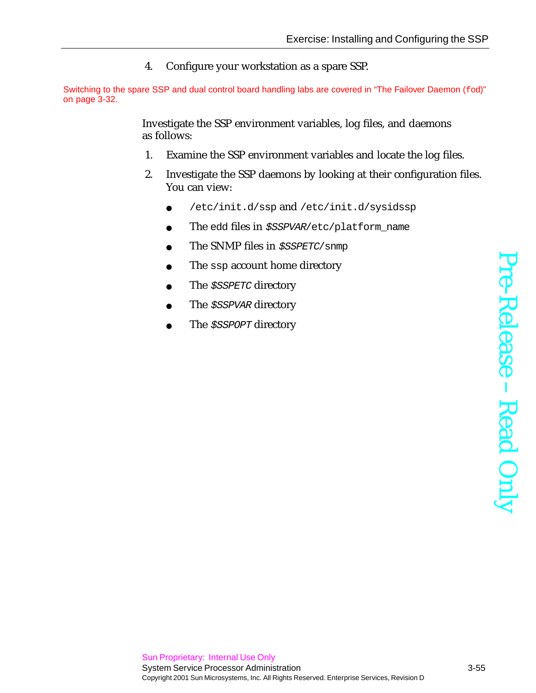4. Configure your workstation as a spare SSP.

Switching to the spare SSP and dual control board handling labs are covered in ["The Failover Daemon \(](#page-31-1)fod)" [on page 3-32.](#page-31-1)

> Investigate the SSP environment variables, log files, and daemons as follows:

- 1. Examine the SSP environment variables and locate the log files.
- 2. Investigate the SSP daemons by looking at their configuration files. You can view:
	- /etc/init.d/ssp and /etc/init.d/sysidssp
	- The edd files in \$SSPVAR/etc/platform\_name
	- The SNMP files in  $$SSPETC/snmp$
	- The ssp account home directory
	- The *\$SSPETC* directory
	- The *\$SSPVAR* directory
	- The *\$SSPOPT* directory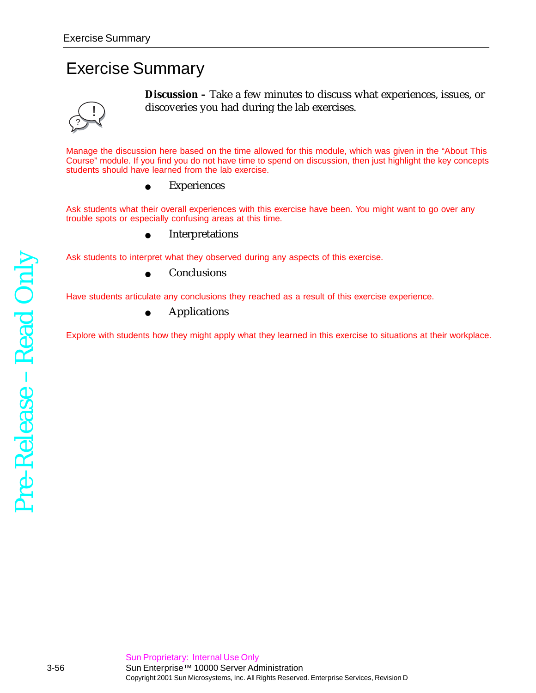## Exercise Summary



**Discussion –** Take a few minutes to discuss what experiences, issues, or discoveries you had during the lab exercises.

Manage the discussion here based on the time allowed for this module, which was given in the "About This Course" module. If you find you do not have time to spend on discussion, then just highlight the key concepts students should have learned from the lab exercise.

**Experiences** 

Ask students what their overall experiences with this exercise have been. You might want to go over any trouble spots or especially confusing areas at this time.

**Interpretations** 

Ask students to interpret what they observed during any aspects of this exercise.

**Conclusions** 

Have students articulate any conclusions they reached as a result of this exercise experience.

● Applications

Explore with students how they might apply what they learned in this exercise to situations at their workplace.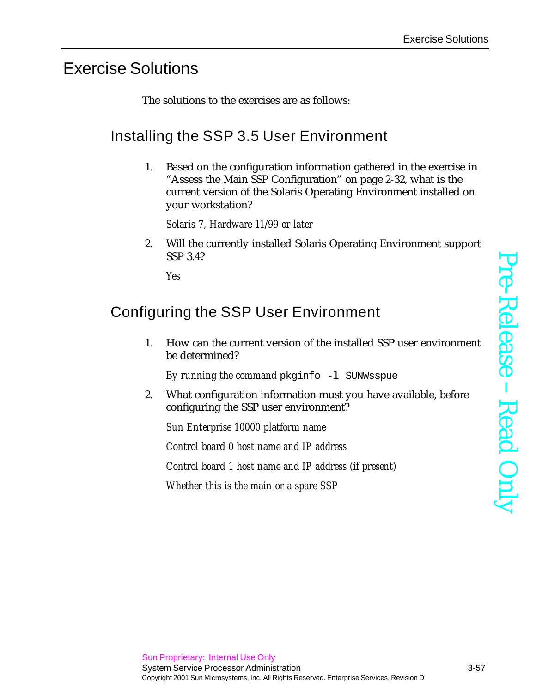## Exercise Solutions

The solutions to the exercises are as follows:

## Installing the SSP 3.5 User Environment

1. Based on the configuration information gathered in the exercise in "Assess the Main SSP Configuration" on page 2-32, what is the current version of the Solaris Operating Environment installed on your workstation?

*Solaris 7, Hardware 11/99 or later*

2. Will the currently installed Solaris Operating Environment support SSP 3.4?

*Yes*

## Configuring the SSP User Environment

1. How can the current version of the installed SSP user environment be determined?

*By running the command* pkginfo -l SUNWsspue

2. What configuration information must you have available, before configuring the SSP user environment?

*Sun Enterprise 10000 platform name*

*Control board 0 host name and IP address*

*Control board 1 host name and IP address (if present)*

*Whether this is the main or a spare SSP*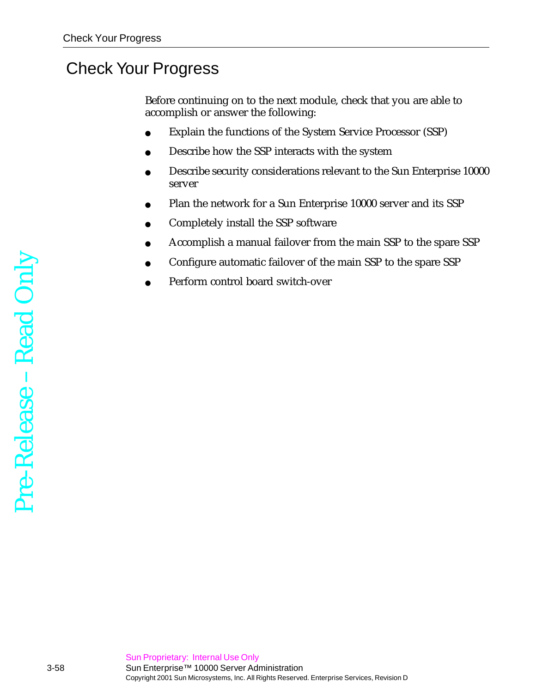## Check Your Progress

Before continuing on to the next module, check that you are able to accomplish or answer the following:

- Explain the functions of the System Service Processor (SSP)
- Describe how the SSP interacts with the system
- Describe security considerations relevant to the Sun Enterprise 10000 server
- Plan the network for a Sun Enterprise 10000 server and its SSP
- Completely install the SSP software
- Accomplish a manual failover from the main SSP to the spare SSP
- Configure automatic failover of the main SSP to the spare SSP
- Perform control board switch-over